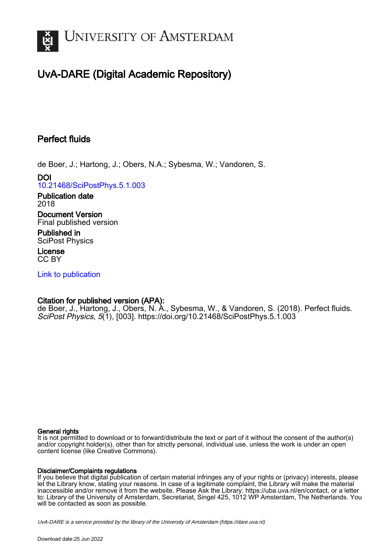

# UvA-DARE (Digital Academic Repository)

## Perfect fluids

de Boer, J.; Hartong, J.; Obers, N.A.; Sybesma, W.; Vandoren, S.

DOI [10.21468/SciPostPhys.5.1.003](https://doi.org/10.21468/SciPostPhys.5.1.003)

Publication date 2018

Document Version Final published version

Published in SciPost Physics

License CC BY

[Link to publication](https://dare.uva.nl/personal/pure/en/publications/perfect-fluids(1c93db6a-60ee-40b3-be0a-198edaabb732).html)

## Citation for published version (APA):

de Boer, J., Hartong, J., Obers, N. A., Sybesma, W., & Vandoren, S. (2018). Perfect fluids. SciPost Physics, 5(1), [003].<https://doi.org/10.21468/SciPostPhys.5.1.003>

#### General rights

It is not permitted to download or to forward/distribute the text or part of it without the consent of the author(s) and/or copyright holder(s), other than for strictly personal, individual use, unless the work is under an open content license (like Creative Commons).

#### Disclaimer/Complaints regulations

If you believe that digital publication of certain material infringes any of your rights or (privacy) interests, please let the Library know, stating your reasons. In case of a legitimate complaint, the Library will make the material inaccessible and/or remove it from the website. Please Ask the Library: https://uba.uva.nl/en/contact, or a letter to: Library of the University of Amsterdam, Secretariat, Singel 425, 1012 WP Amsterdam, The Netherlands. You will be contacted as soon as possible.

UvA-DARE is a service provided by the library of the University of Amsterdam (http*s*://dare.uva.nl)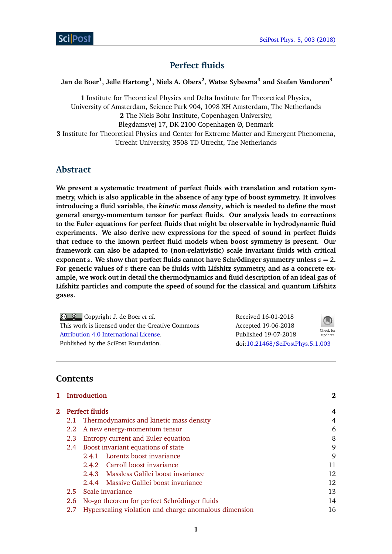

## **Perfect fluids**

## **Jan de Boer<sup>1</sup> , Jelle Hartong<sup>1</sup> , Niels A. Obers<sup>2</sup> , Watse Sybesma<sup>3</sup> and Stefan Vandoren<sup>3</sup>**

**1** Institute for Theoretical Physics and Delta Institute for Theoretical Physics, University of Amsterdam, Science Park 904, 1098 XH Amsterdam, The Netherlands **2** The Niels Bohr Institute, Copenhagen University, Blegdamsvej 17, DK-2100 Copenhagen Ø, Denmark **3** Institute for Theoretical Physics and Center for Extreme Matter and Emergent Phenomena, Utrecht University, 3508 TD Utrecht, The Netherlands

## **Abstract**

**We present a systematic treatment of perfect fluids with translation and rotation symmetry, which is also applicable in the absence of any type of boost symmetry. It involves introducing a fluid variable, the** *kinetic mass density***, which is needed to define the most general energy-momentum tensor for perfect fluids. Our analysis leads to corrections to the Euler equations for perfect fluids that might be observable in hydrodynamic fluid experiments. We also derive new expressions for the speed of sound in perfect fluids that reduce to the known perfect fluid models when boost symmetry is present. Our framework can also be adapted to (non-relativistic) scale invariant fluids with critical exponent**  $z$ **.** We show that perfect fluids cannot have Schrödinger symmetry unless  $z = 2$ **. For generic values of** *z* **there can be fluids with Lifshitz symmetry, and as a concrete example, we work out in detail the thermodynamics and fluid description of an ideal gas of Lifshitz particles and compute the speed of sound for the classical and quantum Lifshitz gases.**

Copyright J. de Boer *et al*. This work is licensed under the Creative Commons [Attribution 4.0 International License.](http://creativecommons.org/licenses/by/4.0/) Published by the SciPost Foundation.

Received 16-01-2018 Accepted 19-06-2018 Published 19-07-2018 Check for updates doi:10.21468/[SciPostPhys.5.1.003](http://dx.doi.org/10.21468/SciPostPhys.5.1.003)

## **Contents**

|                         | 1 Introduction                                        | $\bf{2}$ |
|-------------------------|-------------------------------------------------------|----------|
| <b>2</b> Perfect fluids |                                                       | 4        |
| 2.1                     | Thermodynamics and kinetic mass density               | 4        |
| 2.2                     | A new energy-momentum tensor                          | 6        |
| 2.3                     | Entropy current and Euler equation                    | 8        |
| 2.4                     | Boost invariant equations of state                    | 9        |
|                         | 2.4.1 Lorentz boost invariance                        | 9        |
|                         | 2.4.2 Carroll boost invariance                        | 11       |
|                         | 2.4.3 Massless Galilei boost invariance               | 12       |
|                         | 2.4.4 Massive Galilei boost invariance                | 12       |
| 2.5                     | Scale invariance                                      | 13       |
| 2.6                     | No-go theorem for perfect Schrödinger fluids          | 14       |
| 2.7                     | Hyperscaling violation and charge anomalous dimension | 16       |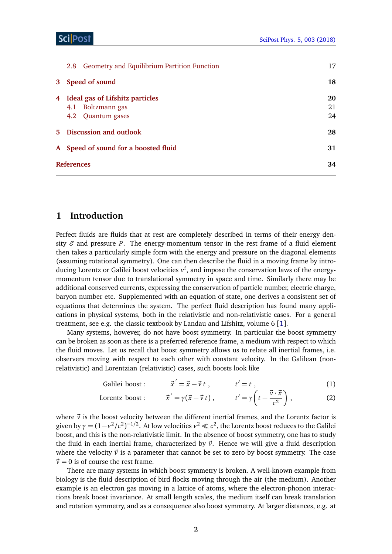| Geometry and Equilibrium Partition Function<br>2.8 | 17 |
|----------------------------------------------------|----|
| 3 Speed of sound                                   | 18 |
| 4 Ideal gas of Lifshitz particles                  | 20 |
| 4.1 Boltzmann gas                                  | 21 |
| 4.2 Quantum gases                                  | 24 |
| 5 Discussion and outlook                           | 28 |
| A Speed of sound for a boosted fluid               | 31 |
| <b>References</b>                                  |    |

## <span id="page-2-0"></span>**1 Introduction**

Perfect fluids are fluids that at rest are completely described in terms of their energy density  $\mathscr E$  and pressure P. The energy-momentum tensor in the rest frame of a fluid element then takes a particularly simple form with the energy and pressure on the diagonal elements (assuming rotational symmetry). One can then describe the fluid in a moving frame by introducing Lorentz or Galilei boost velocities *v i* , and impose the conservation laws of the energymomentum tensor due to translational symmetry in space and time. Similarly there may be additional conserved currents, expressing the conservation of particle number, electric charge, baryon number etc. Supplemented with an equation of state, one derives a consistent set of equations that determines the system. The perfect fluid description has found many applications in physical systems, both in the relativistic and non-relativistic cases. For a general treatment, see e.g. the classic textbook by Landau and Lifshitz, volume 6 [[1](#page-34-1)].

Many systems, however, do not have boost symmetry. In particular the boost symmetry can be broken as soon as there is a preferred reference frame, a medium with respect to which the fluid moves. Let us recall that boost symmetry allows us to relate all inertial frames, i.e. observers moving with respect to each other with constant velocity. In the Galilean (nonrelativistic) and Lorentzian (relativistic) cases, such boosts look like

> Galilei boost:  $t' = \vec{x} - \vec{v} t$ ,  $t' = t$ , (1)

Lorentz boost: 
$$
\vec{x}' = \gamma(\vec{x} - \vec{v}t), \qquad t' = \gamma \left( t - \frac{\vec{v} \cdot \vec{x}}{c^2} \right),
$$
 (2)

where  $\vec{v}$  is the boost velocity between the different inertial frames, and the Lorentz factor is given by  $\gamma = (1 - v^2/c^2)^{-1/2}$ . At low velocities  $v^2 \ll c^2$ , the Lorentz boost reduces to the Galilei boost, and this is the non-relativistic limit. In the absence of boost symmetry, one has to study the fluid in each inertial frame, characterized by  $\vec{v}$ . Hence we will give a fluid description where the velocity  $\vec{v}$  is a parameter that cannot be set to zero by boost symmetry. The case  $\vec{v} = 0$  is of course the rest frame.

There are many systems in which boost symmetry is broken. A well-known example from biology is the fluid description of bird flocks moving through the air (the medium). Another example is an electron gas moving in a lattice of atoms, where the electron-phonon interactions break boost invariance. At small length scales, the medium itself can break translation and rotation symmetry, and as a consequence also boost symmetry. At larger distances, e.g. at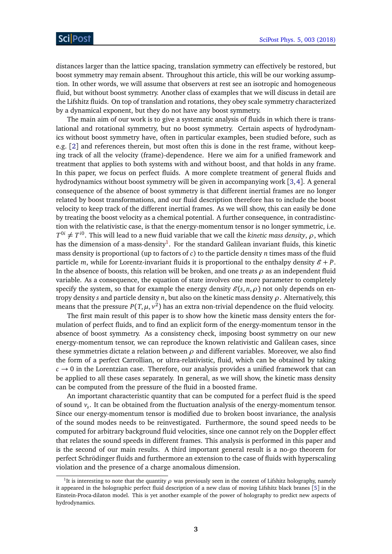distances larger than the lattice spacing, translation symmetry can effectively be restored, but boost symmetry may remain absent. Throughout this article, this will be our working assumption. In other words, we will assume that observers at rest see an isotropic and homogeneous fluid, but without boost symmetry. Another class of examples that we will discuss in detail are the Lifshitz fluids. On top of translation and rotations, they obey scale symmetry characterized by a dynamical exponent, but they do not have any boost symmetry.

The main aim of our work is to give a systematic analysis of fluids in which there is translational and rotational symmetry, but no boost symmetry. Certain aspects of hydrodynamics without boost symmetry have, often in particular examples, been studied before, such as e.g. [[2](#page-34-2)] and references therein, but most often this is done in the rest frame, without keeping track of all the velocity (frame)-dependence. Here we aim for a unified framework and treatment that applies to both systems with and without boost, and that holds in any frame. In this paper, we focus on perfect fluids. A more complete treatment of general fluids and hydrodynamics without boost symmetry will be given in accompanying work [[3,](#page-34-3)[4](#page-34-4)]. A general consequence of the absence of boost symmetry is that different inertial frames are no longer related by boost transformations, and our fluid description therefore has to include the boost velocity to keep track of the different inertial frames. As we will show, this can easily be done by treating the boost velocity as a chemical potential. A further consequence, in contradistinction with the relativistic case, is that the energy-momentum tensor is no longer symmetric, i.e.  $T^{0i} \neq T^{i0}$ . This will lead to a new fluid variable that we call the *kinetic mass density*,  $\rho$ , which has the dimension of a mass-density $^{\rm l}$ . For the standard Galilean invariant fluids, this kinetic mass density is proportional (up to factors of *c*) to the particle density *n* times mass of the fluid particle *m*, while for Lorentz-invariant fluids it is proportional to the enthalpy density  $\mathcal{E} + P$ . In the absence of boosts, this relation will be broken, and one treats *ρ* as an independent fluid variable. As a consequence, the equation of state involves one more parameter to completely specify the system, so that for example the energy density  $\mathcal{E}(s, n, \rho)$  not only depends on entropy density *s* and particle density *n*, but also on the kinetic mass density *ρ*. Alternatively, this means that the pressure  $P(T, \mu, v^2)$  has an extra non-trivial dependence on the fluid velocity.

The first main result of this paper is to show how the kinetic mass density enters the formulation of perfect fluids, and to find an explicit form of the energy-momentum tensor in the absence of boost symmetry. As a consistency check, imposing boost symmetry on our new energy-momentum tensor, we can reproduce the known relativistic and Galilean cases, since these symmetries dictate a relation between *ρ* and different variables. Moreover, we also find the form of a perfect Carrollian, or ultra-relativistic, fluid, which can be obtained by taking  $c \rightarrow 0$  in the Lorentzian case. Therefore, our analysis provides a unified framework that can be applied to all these cases separately. In general, as we will show, the kinetic mass density can be computed from the pressure of the fluid in a boosted frame.

An important characteristic quantity that can be computed for a perfect fluid is the speed of sound *v<sup>s</sup>* . It can be obtained from the fluctuation analysis of the energy-momentum tensor. Since our energy-momentum tensor is modified due to broken boost invariance, the analysis of the sound modes needs to be reinvestigated. Furthermore, the sound speed needs to be computed for arbitrary background fluid velocities, since one cannot rely on the Doppler effect that relates the sound speeds in different frames. This analysis is performed in this paper and is the second of our main results. A third important general result is a no-go theorem for perfect Schrödinger fluids and furthermore an extension to the case of fluids with hyperscaling violation and the presence of a charge anomalous dimension.

<span id="page-3-0"></span><sup>&</sup>lt;sup>1</sup>It is interesting to note that the quantity  $\rho$  was previously seen in the context of Lifshitz holography, namely it appeared in the holographic perfect fluid description of a new class of moving Lifshitz black branes [[5](#page-34-5)] in the Einstein-Proca-dilaton model. This is yet another example of the power of holography to predict new aspects of hydrodynamics.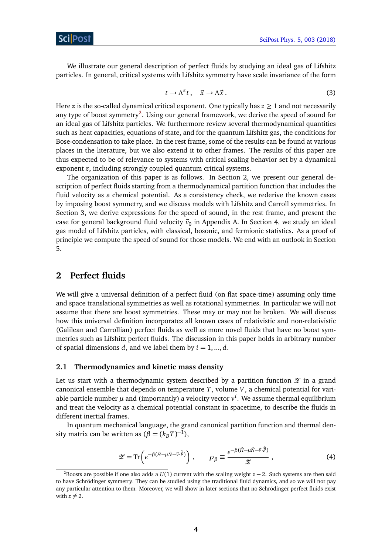We illustrate our general description of perfect fluids by studying an ideal gas of Lifshitz particles. In general, critical systems with Lifshitz symmetry have scale invariance of the form

$$
t \to \Lambda^z t \,, \quad \vec{x} \to \Lambda \vec{x} \,. \tag{3}
$$

Here  $z$  is the so-called dynamical critical exponent. One typically has  $z \geq 1$  and not necessarily any type of boost symmetry<sup>[2](#page-4-2)</sup>. Using our general framework, we derive the speed of sound for an ideal gas of Lifshitz particles. We furthermore review several thermodynamical quantities such as heat capacities, equations of state, and for the quantum Lifshitz gas, the conditions for Bose-condensation to take place. In the rest frame, some of the results can be found at various places in the literature, but we also extend it to other frames. The results of this paper are thus expected to be of relevance to systems with critical scaling behavior set by a dynamical exponent *z*, including strongly coupled quantum critical systems.

The organization of this paper is as follows. In Section 2, we present our general description of perfect fluids starting from a thermodynamical partition function that includes the fluid velocity as a chemical potential. As a consistency check, we rederive the known cases by imposing boost symmetry, and we discuss models with Lifshitz and Carroll symmetries. In Section 3, we derive expressions for the speed of sound, in the rest frame, and present the case for general background fluid velocity  $\vec{v}_0$  in Appendix A. In Section 4, we study an ideal gas model of Lifshitz particles, with classical, bosonic, and fermionic statistics. As a proof of principle we compute the speed of sound for those models. We end with an outlook in Section 5.

## <span id="page-4-0"></span>**2 Perfect fluids**

We will give a universal definition of a perfect fluid (on flat space-time) assuming only time and space translational symmetries as well as rotational symmetries. In particular we will not assume that there are boost symmetries. These may or may not be broken. We will discuss how this universal definition incorporates all known cases of relativistic and non-relativistic (Galilean and Carrollian) perfect fluids as well as more novel fluids that have no boost symmetries such as Lifshitz perfect fluids. The discussion in this paper holds in arbitrary number of spatial dimensions *d*, and we label them by  $i = 1, ..., d$ .

#### <span id="page-4-1"></span>**2.1 Thermodynamics and kinetic mass density**

Let us start with a thermodynamic system described by a partition function  $\mathscr X$  in a grand canonical ensemble that depends on temperature *T*, volume *V*, a chemical potential for variable particle number  $\mu$  and (importantly) a velocity vector  $v^i$ . We assume thermal equilibrium and treat the velocity as a chemical potential constant in spacetime, to describe the fluids in different inertial frames.

In quantum mechanical language, the grand canonical partition function and thermal density matrix can be written as  $(\beta = (k_B T)^{-1})$ ,

$$
\mathscr{Z} = \text{Tr}\left(e^{-\beta(\hat{H} - \mu\hat{N} - \vec{v} \cdot \vec{\hat{P}})}\right), \qquad \rho_{\beta} \equiv \frac{e^{-\beta(\hat{H} - \mu\hat{N} - \vec{v} \cdot \vec{\hat{P}})}}{\mathscr{Z}},\tag{4}
$$

<span id="page-4-2"></span><sup>&</sup>lt;sup>2</sup>Boosts are possible if one also adds a  $U(1)$  current with the scaling weight  $z - 2$ . Such systems are then said to have Schrödinger symmetry. They can be studied using the traditional fluid dynamics, and so we will not pay any particular attention to them. Moreover, we will show in later sections that no Schrödinger perfect fluids exist with  $z \neq 2$ .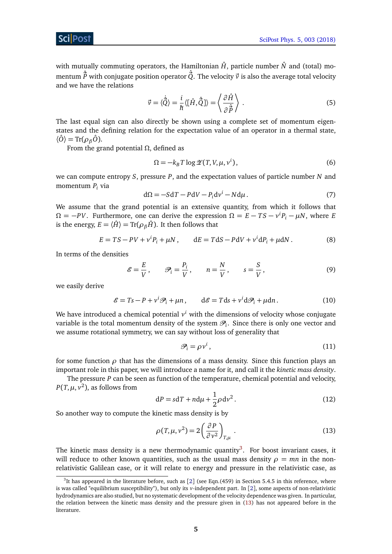with mutually commuting operators, the Hamiltonian  $\hat{H}$ , particle number  $\hat{N}$  and (total) momentum  $\hat{\vec{P}}$  with conjugate position operator  $\hat{\vec{Q}}$ . The velocity  $\vec{v}$  is also the average total velocity and we have the relations

$$
\vec{v} = \langle \dot{\vec{Q}} \rangle = \frac{i}{\hbar} \langle [\hat{H}, \hat{\vec{Q}}] \rangle = \left\langle \frac{\partial \hat{H}}{\partial \hat{\vec{P}}} \right\rangle . \tag{5}
$$

The last equal sign can also directly be shown using a complete set of momentum eigenstates and the defining relation for the expectation value of an operator in a thermal state,  $\langle \hat{O} \rangle = \text{Tr}(\rho_{\beta} \hat{O})$ .

From the grand potential *Ω*, defined as

$$
\Omega = -k_B T \log \mathcal{Z}(T, V, \mu, v^i),\tag{6}
$$

we can compute entropy *S*, pressure *P*, and the expectation values of particle number *N* and momentum *P<sup>i</sup>* via

$$
d\Omega = -SdT - PdV - P_i dv^i - Nd\mu.
$$
 (7)

We assume that the grand potential is an extensive quantity, from which it follows that  $\Omega = -PV$ . Furthermore, one can derive the expression  $\Omega = E - TS - v^i P_i - \mu N$ , where *E* is the energy,  $E = \langle \hat{H} \rangle = \text{Tr}(\rho_{\beta} \hat{H})$ . It then follows that

$$
E = TS - PV + viPi + \mu N, \qquad dE = TdS - PdV + vi dPi + \mu dN.
$$
 (8)

In terms of the densities

$$
\mathcal{E} = \frac{E}{V}, \qquad \mathcal{P}_i = \frac{P_i}{V}, \qquad n = \frac{N}{V}, \qquad s = \frac{S}{V}, \tag{9}
$$

we easily derive

<span id="page-5-2"></span>
$$
\mathcal{E} = Ts - P + v^i \mathcal{P}_i + \mu n, \qquad d\mathcal{E} = T ds + v^i d\mathcal{P}_i + \mu dn. \tag{10}
$$

We have introduced a chemical potential  $v^i$  with the dimensions of velocity whose conjugate variable is the total momentum density of the system  $\mathscr{P}_i$ . Since there is only one vector and we assume rotational symmetry, we can say without loss of generality that

$$
\mathcal{P}_i = \rho v^i, \tag{11}
$$

for some function  $\rho$  that has the dimensions of a mass density. Since this function plays an important role in this paper, we will introduce a name for it, and call it the *kinetic mass density*.

The pressure *P* can be seen as function of the temperature, chemical potential and velocity,  $P(T, \mu, \nu^2)$ , as follows from

<span id="page-5-3"></span>
$$
dP = sdT + nd\mu + \frac{1}{2}\rho dv^2.
$$
 (12)

So another way to compute the kinetic mass density is by

<span id="page-5-1"></span>
$$
\rho(T,\mu,\nu^2) = 2\left(\frac{\partial P}{\partial \nu^2}\right)_{T,\mu}.
$$
\n(13)

The kinetic mass density is a new thermodynamic quantity<sup>[3](#page-5-0)</sup>. For boost invariant cases, it will reduce to other known quantities, such as the usual mass density  $\rho = mn$  in the nonrelativistic Galilean case, or it will relate to energy and pressure in the relativistic case, as

<span id="page-5-0"></span> $3$ It has appeared in the literature before, such as [[2](#page-34-2)] (see Eqn.(459) in Section 5.4.5 in this reference, where is was called "equilibrium susceptibility"), but only its *v*-independent part. In [[2](#page-34-2)], some aspects of non-relativistic hydrodynamics are also studied, but no systematic development of the velocity dependence was given. In particular, the relation between the kinetic mass density and the pressure given in [\(13\)](#page-5-1) has not appeared before in the literature.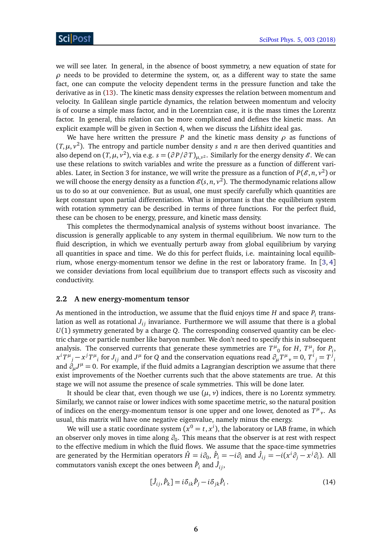we will see later. In general, in the absence of boost symmetry, a new equation of state for  $\rho$  needs to be provided to determine the system, or, as a different way to state the same fact, one can compute the velocity dependent terms in the pressure function and take the derivative as in [\(13\)](#page-5-1). The kinetic mass density expresses the relation between momentum and velocity. In Galilean single particle dynamics, the relation between momentum and velocity is of course a simple mass factor, and in the Lorentzian case, it is the mass times the Lorentz factor. In general, this relation can be more complicated and defines the kinetic mass. An explicit example will be given in Section 4, when we discuss the Lifshitz ideal gas.

We have here written the pressure *P* and the kinetic mass density  $\rho$  as functions of  $(T, \mu, v^2)$ . The entropy and particle number density *s* and *n* are then derived quantities and also depend on  $(T, \mu, v^2)$ , via e.g.  $s = (\partial P/\partial T)_{\mu, v^2}$ . Similarly for the energy density  $\mathscr E$ . We can use these relations to switch variables and write the pressure as a function of different variables. Later, in Section 3 for instance, we will write the pressure as a function of  $P(\mathscr{E}, n, v^2)$  or we will choose the energy density as a function  $\mathscr{E}(s,n,v^2).$  The thermodynamic relations allow us to do so at our convenience. But as usual, one must specify carefully which quantities are kept constant upon partial differentiation. What is important is that the equilibrium system with rotation symmetry can be described in terms of three functions. For the perfect fluid, these can be chosen to be energy, pressure, and kinetic mass density.

This completes the thermodynamical analysis of systems without boost invariance. The discussion is generally applicable to any system in thermal equilibrium. We now turn to the fluid description, in which we eventually perturb away from global equilibrium by varying all quantities in space and time. We do this for perfect fluids, i.e. maintaining local equilib-rium, whose energy-momentum tensor we define in the rest or laboratory frame. In [[3,](#page-34-3) [4](#page-34-4)] we consider deviations from local equilibrium due to transport effects such as viscosity and conductivity.

#### <span id="page-6-0"></span>**2.2 A new energy-momentum tensor**

As mentioned in the introduction, we assume that the fluid enjoys time  $H$  and space  $P_i$  translation as well as rotational  $J_{ij}$  invariance. Furthermore we will assume that there is a global *U*(1) symmetry generated by a charge *Q*. The corresponding conserved quantity can be electric charge or particle number like baryon number. We don't need to specify this in subsequent analysis. The conserved currents that generate these symmetries are  $T^{\mu}{}_{0}$  for *H*,  $T^{\mu}{}_{i}$  for  $P_{i}$ ,  $x^iT^\mu{}_j - x^jT^\mu{}_i$  for  $J_{ij}$  and  $J^\mu$  for  $Q$  and the conservation equations read  $\partial_\mu T^\mu{}_\nu=0,$   $T^i{}_j=T^j{}_i$ and  $\delta_\mu J^\mu = 0$ . For example, if the fluid admits a Lagrangian description we assume that there exist improvements of the Noether currents such that the above statements are true. At this stage we will not assume the presence of scale symmetries. This will be done later.

It should be clear that, even though we use  $(\mu, \nu)$  indices, there is no Lorentz symmetry. Similarly, we cannot raise or lower indices with some spacetime metric, so the natural position of indices on the energy-momentum tensor is one upper and one lower, denoted as  $T^{\mu}{}_{\nu}$ . As usual, this matrix will have one negative eigenvalue, namely minus the energy.

We will use a static coordinate system  $(x^0 = t, x^i)$ , the laboratory or LAB frame, in which an observer only moves in time along *∂*<sup>0</sup> . This means that the observer is at rest with respect to the effective medium in which the fluid flows. We assume that the space-time symmetries are generated by the Hermitian operators  $\hat{H}=i\partial_0$ ,  $\hat{P}_i=-i\partial_i$  and  $\hat{J}_{ij}=-i(x^i\partial_j-x^j\partial_i)$ . All commutators vanish except the ones between  $\hat{P}_i$  and  $\hat{J}_{ij}$ ,

$$
[\hat{J}_{ij}, \hat{P}_k] = i\delta_{ik}\hat{P}_j - i\delta_{jk}\hat{P}_i.
$$
\n(14)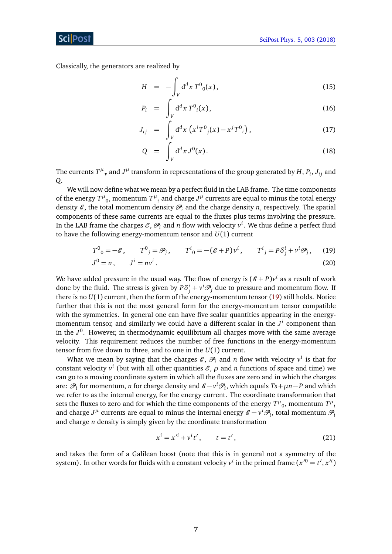Classically, the generators are realized by

$$
H = -\int_{V} d^{d}x \, T^{0}_{0}(x), \qquad (15)
$$

$$
P_i = \int_V d^d x T^0_i(x), \qquad (16)
$$

$$
J_{ij} = \int_{V} d^{d}x \left( x^{i} T^{0}_{j}(x) - x^{j} T^{0}_{i} \right), \qquad (17)
$$

$$
Q = \int_{V} d^{d}x J^{0}(x). \qquad (18)
$$

The currents  $T^{\mu}{}_{\nu}$  and  $J^{\mu}$  transform in representations of the group generated by  $H$ ,  $P_i$ ,  $J_{ij}$  and *Q*.

We will now define what we mean by a perfect fluid in the LAB frame. The time components of the energy  $T^{\mu}_{\ \,0}$ , momentum  $T^{\mu}_{\ \,i}$  and charge  $J^{\mu}$  currents are equal to minus the total energy density  $\mathcal{E}$ , the total momentum density  $\mathcal{P}_i$  and the charge density *n*, respectively. The spatial components of these same currents are equal to the fluxes plus terms involving the pressure. In the LAB frame the charges  $\mathscr{E}, \mathscr{P}_i$  and  $n$  flow with velocity  $v^i$ . We thus define a perfect fluid to have the following energy-momentum tensor and *U*(1) current

<span id="page-7-0"></span>
$$
T^{0}_{0} = -\mathcal{E}, \qquad T^{0}_{j} = \mathcal{P}_{j}, \qquad T^{i}_{0} = -(\mathcal{E} + P)v^{i}, \qquad T^{i}_{j} = P\delta^{i}_{j} + v^{i}\mathcal{P}_{j}, \qquad (19)
$$
  

$$
J^{0} = n, \qquad J^{i} = nv^{i}.
$$
 (20)

We have added pressure in the usual way. The flow of energy is  $(\mathscr{E}+P)v^i$  as a result of work done by the fluid. The stress is given by  $P\delta^i_j + v^i \mathcal{P}_j$  due to pressure and momentum flow. If there is no *U*(1) current, then the form of the energy-momentum tensor [\(19\)](#page-7-0) still holds. Notice further that this is not the most general form for the energy-momentum tensor compatible with the symmetries. In general one can have five scalar quantities appearing in the energymomentum tensor, and similarly we could have a different scalar in the *J i* component than in the *J* 0 . However, in thermodynamic equilibrium all charges move with the same average velocity. This requirement reduces the number of free functions in the energy-momentum tensor from five down to three, and to one in the *U*(1) current.

What we mean by saying that the charges  $\mathscr{E}, \mathscr{P}_i$  and *n* flow with velocity  $v^i$  is that for constant velocity  $v^i$  (but with all other quantities  $\mathscr{E}, \rho$  and *n* functions of space and time) we can go to a moving coordinate system in which all the fluxes are zero and in which the charges are:  $\mathscr{P}_i$  for momentum, *n* for charge density and  $\mathscr{E}-v^i\mathscr{P}_i$ , which equals  $Ts+\mu n-P$  and which we refer to as the internal energy, for the energy current. The coordinate transformation that sets the fluxes to zero and for which the time components of the energy  $T^{\mu}{}_{0}$ , momentum  $T^{\mu}{}_{i}$ and charge  $J^{\mu}$  currents are equal to minus the internal energy  $\mathscr{E} - v^i \mathscr{P}_i$ , total momentum  $\mathscr{P}_i$ and charge *n* density is simply given by the coordinate transformation

$$
x^{i} = x'^{i} + v^{i}t', \qquad t = t', \tag{21}
$$

and takes the form of a Galilean boost (note that this is in general not a symmetry of the system). In other words for fluids with a constant velocity  $v^i$  in the primed frame  $(x'^0 = t', x'^i)$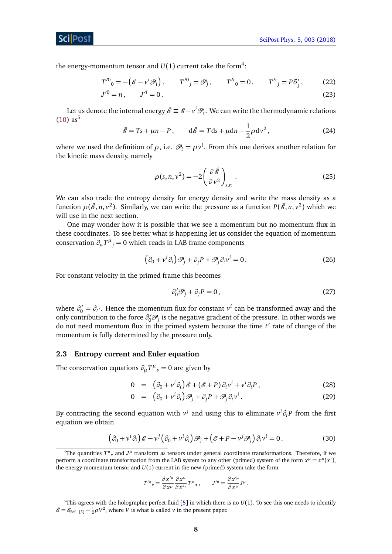the energy-momentum tensor and  $U(1)$  current take the form<sup>[4](#page-8-1)</sup>:

$$
T^{\prime 0}_{0} = -(\mathcal{E} - v^{i} \mathcal{P}_{i}), \qquad T^{\prime 0}_{j} = \mathcal{P}_{j}, \qquad T^{\prime i}_{0} = 0, \qquad T^{\prime i}_{j} = P \delta^{i}_{j}, \qquad (22)
$$
  

$$
J^{\prime 0} = n, \qquad J^{\prime i} = 0.
$$
 (23)

<span id="page-8-4"></span>Let us denote the internal energy  $\tilde{\mathscr{E}} \equiv \mathscr{E} - v^i \mathscr{P}_i.$  We can write the thermodynamic relations  $(10)$  as<sup>[5](#page-8-2)</sup>

$$
\tilde{\mathscr{E}} = Ts + \mu n - P, \qquad d\tilde{\mathscr{E}} = Tds + \mu dn - \frac{1}{2}\rho dv^2, \tag{24}
$$

where we used the definition of  $\rho$ , i.e.  $\mathcal{P}_i = \rho v^i$ . From this one derives another relation for the kinetic mass density, namely

$$
\rho(s, n, v^2) = -2 \left( \frac{\partial \tilde{\mathcal{E}}}{\partial v^2} \right)_{s, n} .
$$
\n(25)

We can also trade the entropy density for energy density and write the mass density as a function  $\rho(\tilde{\mathscr{E}}, n, v^2)$ . Similarly, we can write the pressure as a function  $P(\tilde{\mathscr{E}}, n, v^2)$  which we will use in the next section.

One may wonder how it is possible that we see a momentum but no momentum flux in these coordinates. To see better what is happening let us consider the equation of momentum conservation  $\partial_{\mu}T^{\mu}{}_{j} = 0$  which reads in LAB frame components

$$
(\partial_0 + v^i \partial_i) \mathcal{P}_j + \partial_j P + \mathcal{P}_j \partial_i v^i = 0.
$$
 (26)

For constant velocity in the primed frame this becomes

$$
\partial_0' \mathcal{P}_j + \partial_j P = 0, \qquad (27)
$$

where  $\partial'_0 = \partial_{t'}$ . Hence the momentum flux for constant  $v^i$  can be transformed away and the only contribution to the force  $\partial'_0 \mathcal{P}_j$  is the negative gradient of the pressure. In other words we do not need momentum flux in the primed system because the time  $t'$  rate of change of the momentum is fully determined by the pressure only.

#### <span id="page-8-0"></span>**2.3 Entropy current and Euler equation**

The conservation equations  $\partial_{\mu}T^{\mu}{}_{\nu} = 0$  are given by

<span id="page-8-3"></span>
$$
0 = (\partial_0 + v^i \partial_i) \mathcal{E} + (\mathcal{E} + P) \partial_i v^i + v^i \partial_i P, \qquad (28)
$$

$$
0 = (\partial_0 + v^i \partial_i) \mathcal{P}_j + \partial_j P + \mathcal{P}_j \partial_i v^i.
$$
 (29)

By contracting the second equation with  $v^j$  and using this to eliminate  $v^i \partial_i P$  from the first equation we obtain

$$
\left(\partial_0 + v^i \partial_i\right) \mathcal{E} - v^j \left(\partial_0 + v^i \partial_i\right) \mathcal{P}_j + \left(\mathcal{E} + P - v^j \mathcal{P}_j\right) \partial_i v^i = 0. \tag{30}
$$

$$
T^{\prime \mu}{}_{\nu} = \frac{\partial x^{\prime \mu}}{\partial x^{\rho}} \frac{\partial x^{\sigma}}{\partial x^{\prime \nu}} T^{\rho}{}_{\sigma} , \qquad J^{\prime \mu} = \frac{\partial x^{\prime \mu}}{\partial x^{\rho}} J^{\rho} .
$$

<span id="page-8-1"></span><sup>&</sup>lt;sup>4</sup>The quantities  $T^{\mu}$ , and  $J^{\mu}$  transform as tensors under general coordinate transformations. Therefore, if we perform a coordinate transformation from the LAB system to any other (primed) system of the form  $x^{\mu} = x^{\mu}(x')$ , the energy-momentum tensor and  $U(1)$  current in the new (primed) system take the form

<span id="page-8-2"></span><sup>&</sup>lt;sup>[5](#page-34-5)</sup>This agrees with the holographic perfect fluid [5] in which there is no  $U(1)$ . To see this one needs to identify  $\tilde{\mathscr{E}} = \mathscr{E}_{\text{Ref. [5]}} - \frac{1}{2}\rho V^2$  $\tilde{\mathscr{E}} = \mathscr{E}_{\text{Ref. [5]}} - \frac{1}{2}\rho V^2$  $\tilde{\mathscr{E}} = \mathscr{E}_{\text{Ref. [5]}} - \frac{1}{2}\rho V^2$ , where *V* is what is called *v* in the present paper.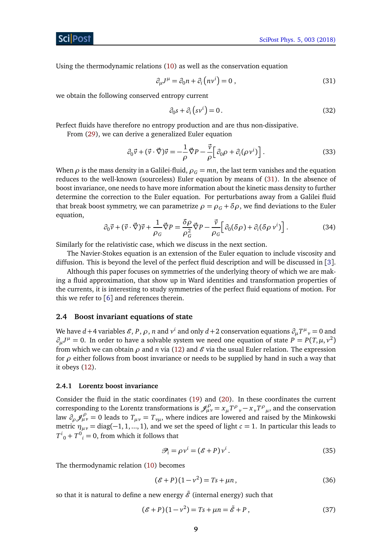Using the thermodynamic relations [\(10\)](#page-5-2) as well as the conservation equation

$$
\partial_{\mu}J^{\mu} = \partial_0 n + \partial_i (n\nu^i) = 0 , \qquad (31)
$$

we obtain the following conserved entropy current

<span id="page-9-5"></span><span id="page-9-2"></span>
$$
\partial_0 s + \partial_i \left( s v^i \right) = 0. \tag{32}
$$

Perfect fluids have therefore no entropy production and are thus non-dissipative.

From [\(29\)](#page-8-3), we can derive a generalized Euler equation

$$
\partial_0 \vec{v} + (\vec{v} \cdot \vec{\nabla}) \vec{v} = -\frac{1}{\rho} \vec{\nabla} P - \frac{\vec{v}}{\rho} \Big[ \partial_0 \rho + \partial_i (\rho v^i) \Big]. \tag{33}
$$

When  $\rho$  is the mass density in a Galilei-fluid,  $\rho_G = mn$ , the last term vanishes and the equation reduces to the well-known (sourceless) Euler equation by means of [\(31\)](#page-9-2). In the absence of boost invariance, one needs to have more information about the kinetic mass density to further determine the correction to the Euler equation. For perturbations away from a Galilei fluid that break boost symmetry, we can parametrize  $\rho = \rho_c + \delta \rho$ , we find deviations to the Euler equation,

$$
\partial_0 \vec{v} + (\vec{v} \cdot \vec{\nabla}) \vec{v} + \frac{1}{\rho_G} \vec{\nabla} P = \frac{\delta \rho}{\rho_G^2} \vec{\nabla} P - \frac{\vec{v}}{\rho_G} \Big[ \partial_0 (\delta \rho) + \partial_i (\delta \rho \, v^i) \Big]. \tag{34}
$$

Similarly for the relativistic case, which we discuss in the next section.

The Navier-Stokes equation is an extension of the Euler equation to include viscosity and diffusion. This is beyond the level of the perfect fluid description and will be discussed in [[3](#page-34-3)].

Although this paper focuses on symmetries of the underlying theory of which we are making a fluid approximation, that show up in Ward identities and transformation properties of the currents, it is interesting to study symmetries of the perfect fluid equations of motion. For this we refer to [[6](#page-34-6)] and references therein.

#### <span id="page-9-0"></span>**2.4 Boost invariant equations of state**

We have  $d+4$  variables  $\mathscr E,$   $P,$   $\rho,$   $n$  and  $v^i$  and only  $d+2$  conservation equations  $\partial_\mu T^\mu{}_v=0$  and  $\partial_{\mu}J^{\mu} = 0$ . In order to have a solvable system we need one equation of state  $P = P(T, \mu, v^2)$ from which we can obtain  $\rho$  and *n* via [\(12\)](#page-5-3) and  $\mathscr E$  via the usual Euler relation. The expression for *ρ* either follows from boost invariance or needs to be supplied by hand in such a way that it obeys [\(12\)](#page-5-3).

#### <span id="page-9-1"></span>**2.4.1 Lorentz boost invariance**

Consider the fluid in the static coordinates [\(19\)](#page-7-0) and [\(20\)](#page-7-0). In these coordinates the current corresponding to the Lorentz transformations is  $\mathscr{J}^\rho_{\mu\nu} = x_\mu T^\rho{}_\nu - x_\nu T^\rho{}_\mu$ , and the conservation law  $\partial_{\rho} \mathcal{J}_{\mu\nu}^{\rho} = 0$  leads to  $T_{\mu\nu} = T_{\nu\mu}$ , where indices are lowered and raised by the Minkowski metric  $\eta_{\mu\nu} = \text{diag}(-1, 1, ..., 1)$ , and we set the speed of light  $c = 1$ . In particular this leads to  $T^{i}_{0} + T^{0}_{i} = 0$ , from which it follows that

<span id="page-9-4"></span><span id="page-9-3"></span>
$$
\mathcal{P}_i = \rho v^i = (\mathcal{E} + P) v^i. \tag{35}
$$

The thermodynamic relation [\(10\)](#page-5-2) becomes

$$
(\mathcal{E} + P)(1 - v^2) = Ts + \mu n, \tag{36}
$$

so that it is natural to define a new energy  $\tilde{\mathscr{E}}$  (internal energy) such that

$$
(\mathscr{E} + P)(1 - v^2) = Ts + \mu n = \tilde{\mathscr{E}} + P, \tag{37}
$$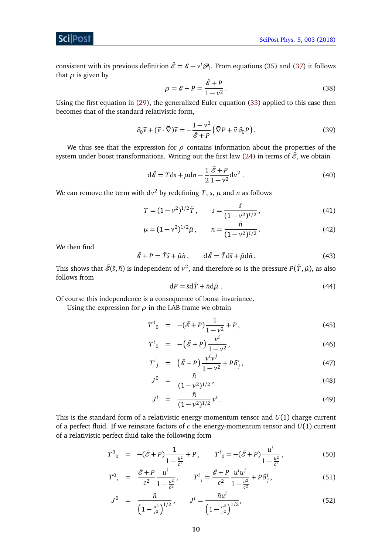consistent with its previous definition  $\tilde{\mathscr{E}} = \mathscr{E} - v^i \mathscr{P}_i$ . From equations [\(35\)](#page-9-3) and [\(37\)](#page-9-4) it follows that  $\rho$  is given by

$$
\rho = \mathcal{E} + P = \frac{\tilde{\mathcal{E}} + P}{1 - v^2}.
$$
\n(38)

Using the first equation in [\(29\)](#page-8-3), the generalized Euler equation [\(33\)](#page-9-5) applied to this case then becomes that of the standard relativistic form,

$$
\partial_0 \vec{v} + (\vec{v} \cdot \vec{\nabla}) \vec{v} = -\frac{1 - v^2}{\tilde{\mathscr{E}} + P} \left( \vec{\nabla} P + \vec{v} \, \partial_0 P \right).
$$
 (39)

We thus see that the expression for  $\rho$  contains information about the properties of the system under boost transformations. Writing out the first law [\(24\)](#page-8-4) in terms of  $\tilde{\mathscr{E}}$ , we obtain

$$
d\tilde{\mathscr{E}} = Tds + \mu dn - \frac{1}{2} \frac{\tilde{\mathscr{E}} + P}{1 - v^2} dv^2.
$$
 (40)

We can remove the term with  $dv^2$  by redefining *T* , *s*,  $\mu$  and *n* as follows

<span id="page-10-1"></span>
$$
T = (1 - v^2)^{1/2} \tilde{T}, \qquad s = \frac{\tilde{s}}{(1 - v^2)^{1/2}}, \tag{41}
$$

$$
\mu = (1 - v^2)^{1/2} \tilde{\mu}, \qquad n = \frac{\tilde{n}}{(1 - v^2)^{1/2}}.
$$
\n(42)

We then find

$$
\tilde{\mathscr{E}} + P = \tilde{T}\tilde{s} + \tilde{\mu}\tilde{n}, \qquad d\tilde{\mathscr{E}} = \tilde{T}d\tilde{s} + \tilde{\mu}d\tilde{n}.
$$
 (43)

This shows that  $\tilde{\mathscr{E}}(\tilde{s},\tilde{n})$  is independent of  $v^2$ , and therefore so is the pressure  $P(\tilde{T},\tilde{\mu})$ , as also follows from

$$
dP = \tilde{s}d\tilde{T} + \tilde{n}d\tilde{\mu} \tag{44}
$$

Of course this independence is a consequence of boost invariance.

Using the expression for  $\rho$  in the LAB frame we obtain

$$
T^{0}{}_{0} = -(\tilde{\mathscr{E}} + P)\frac{1}{1 - \nu^{2}} + P,
$$
\n(45)

$$
T^{i}_{0} = -(\tilde{\mathscr{E}} + P) \frac{v^{i}}{1 - v^{2}},
$$
\n(46)

$$
T^i{}_j = (\tilde{\mathscr{E}} + P) \frac{v^i v^j}{1 - v^2} + P \delta^i_j,\tag{47}
$$

$$
J^0 = \frac{\tilde{n}}{(1 - v^2)^{1/2}},\tag{48}
$$

$$
J^{i} = \frac{\tilde{n}}{(1 - v^{2})^{1/2}} v^{i}.
$$
 (49)

This is the standard form of a relativistic energy-momentum tensor and *U*(1) charge current of a perfect fluid. If we reinstate factors of *c* the energy-momentum tensor and *U*(1) current of a relativistic perfect fluid take the following form

<span id="page-10-0"></span>
$$
T^{0}{}_{0} = -(\tilde{\mathscr{E}} + P) \frac{1}{1 - \frac{u^{2}}{c^{2}}} + P, \qquad T^{i}{}_{0} = -(\tilde{\mathscr{E}} + P) \frac{u^{i}}{1 - \frac{u^{2}}{c^{2}}},
$$
(50)

$$
T^{0}{}_{i} = \frac{\tilde{\mathcal{E}} + P}{c^{2}} \frac{u^{i}}{1 - \frac{u^{2}}{c^{2}}}, \qquad T^{i}{}_{j} = \frac{\tilde{\mathcal{E}} + P}{c^{2}} \frac{u^{i} u^{j}}{1 - \frac{u^{2}}{c^{2}}} + P \delta^{i}_{j}, \tag{51}
$$

$$
J^{0} = \frac{\tilde{n}}{\left(1 - \frac{u^{2}}{c^{2}}\right)^{1/2}}, \qquad J^{i} = \frac{\tilde{n}u^{i}}{\left(1 - \frac{u^{2}}{c^{2}}\right)^{1/2}},
$$
(52)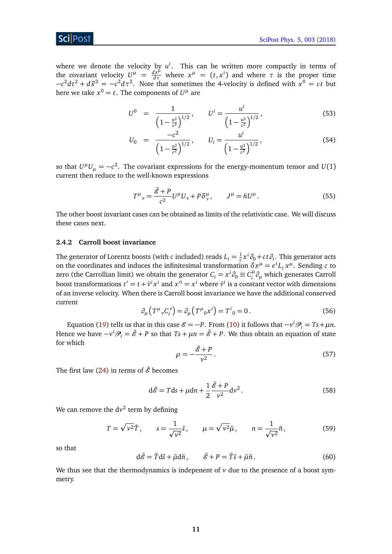where we denote the velocity by  $u^i$ . This can be written more compactly in terms of the covariant velocity  $U^{\mu} = \frac{dx^{\mu}}{d\tau}$  where  $x^{\mu} = (t, x^{i})$  and where  $\tau$  is the proper time  $-c^2 dt^2 + d\vec{x}^2 = -c^2 d\tau^2$ . Note that sometimes the 4-velocity is defined with  $x^0 = ct$  but here we take  $x^0 = t$ . The components of  $U^{\mu}$  are

$$
U^{0} = \frac{1}{\left(1 - \frac{u^{2}}{c^{2}}\right)^{1/2}}, \qquad U^{i} = \frac{u^{i}}{\left(1 - \frac{u^{2}}{c^{2}}\right)^{1/2}},
$$
\n(53)

$$
U_0 = \frac{-c^2}{\left(1 - \frac{u^2}{c^2}\right)^{1/2}}, \qquad U_i = \frac{u^i}{\left(1 - \frac{u^2}{c^2}\right)^{1/2}},
$$
(54)

so that  $U^{\mu}U_{\mu}=-c^2.$  The covariant expressions for the energy-momentum tensor and  $U(1)$ current then reduce to the well-known expressions

$$
T^{\mu}{}_{\nu} = \frac{\tilde{\mathscr{E}} + P}{c^2} U^{\mu} U_{\nu} + P \delta^{\mu}_{\nu}, \qquad J^{\mu} = \tilde{n} U^{\mu}.
$$
 (55)

The other boost invariant cases can be obtained as limits of the relativistic case. We will discuss these cases next.

#### <span id="page-11-0"></span>**2.4.2 Carroll boost invariance**

The generator of Lorentz boosts (with  $c$  included) reads  $L_i = \frac{1}{c}$  $\frac{1}{c}$ *x<sup>i</sup>* ∂<sub>0</sub> + *c* t ∂<sup>*i*</sup>. This generator acts on the coordinates and induces the infinitesimal transformation  $\delta x^{\mu} = \epsilon^{i} L_{i} x^{\mu}$ . Sending *c* to zero (the Carrollian limit) we obtain the generator  $C_i = x^i \partial_0 \equiv C_i^\mu$ *i ∂<sup>µ</sup>* which generates Carroll boost transformations  $t' = t + \bar{v}^i x^i$  and  $x'^i = x^i$  where  $\bar{v}^i$  is a constant vector with dimensions of an inverse velocity. When there is Carroll boost invariance we have the additional conserved current

$$
\partial_{\mu} (T^{\mu}{}_{\nu} C_i^{\nu}) = \partial_{\mu} (T^{\mu}{}_{0} x^i) = T^i{}_{0} = 0.
$$
 (56)

Equation [\(19\)](#page-7-0) tells us that in this case  $\mathcal{E} = -P$ . From [\(10\)](#page-5-2) it follows that  $-v^i\mathcal{P}_i = Ts + \mu n$ . Hence we have  $-v^i\mathscr{P}_i = \tilde{\mathscr{E}} + P$  so that  $Ts + \mu n = \tilde{\mathscr{E}} + P$ . We thus obtain an equation of state for which

$$
\rho = -\frac{\tilde{\mathcal{E}} + P}{v^2}.
$$
\n(57)

The first law [\(24\)](#page-8-4) in terms of  $\tilde{\mathscr{E}}$  becomes

$$
d\tilde{\mathscr{E}} = Tds + \mu dn + \frac{1}{2} \frac{\tilde{\mathscr{E}} + P}{v^2} dv^2.
$$
 (58)

We can remove the  $dv^2$  term by defining

$$
T = \sqrt{\nu^2} \tilde{T}, \qquad s = \frac{1}{\sqrt{\nu^2}} \tilde{s}, \qquad \mu = \sqrt{\nu^2} \tilde{\mu}, \qquad n = \frac{1}{\sqrt{\nu^2}} \tilde{n}, \tag{59}
$$

so that

$$
d\tilde{\mathscr{E}} = \tilde{T}d\tilde{s} + \tilde{\mu}d\tilde{n}, \qquad \tilde{\mathscr{E}} + P = \tilde{T}\tilde{s} + \tilde{\mu}\tilde{n}. \tag{60}
$$

We thus see that the thermodynamics is indepenent of  $\nu$  due to the presence of a boost symmetry.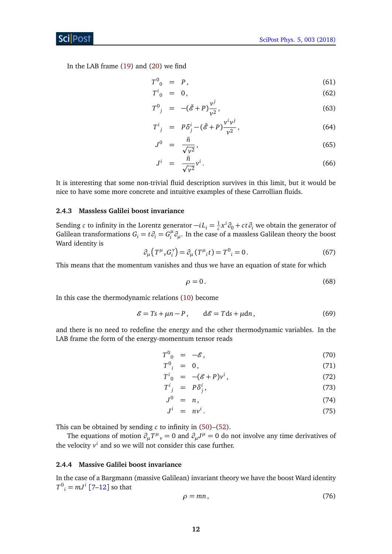In the LAB frame [\(19\)](#page-7-0) and [\(20\)](#page-7-0) we find

$$
T^0{}_0 = P, \tag{61}
$$

$$
T^i_{\ 0} \quad = \quad 0 \,, \tag{62}
$$

$$
T^{0}{}_{j} = -(\tilde{\mathscr{E}} + P) \frac{v^{j}}{v^{2}}, \qquad (63)
$$

$$
T^i_{\ j} = P\delta^i_j - (\tilde{\mathscr{E}} + P)\frac{v^i v^j}{v^2},\tag{64}
$$

$$
J^0 = \frac{\tilde{n}}{\sqrt{v^2}},\tag{65}
$$

$$
J^i = \frac{\tilde{n}}{\sqrt{v^2}} v^i. \tag{66}
$$

It is interesting that some non-trivial fluid description survives in this limit, but it would be nice to have some more concrete and intuitive examples of these Carrollian fluids.

#### <span id="page-12-0"></span>**2.4.3 Massless Galilei boost invariance**

Sending *c* to infinity in the Lorentz generator  $-iL_i = \frac{1}{c}$  $\frac{1}{c}x^i\partial_0 + ct\partial_i$  we obtain the generator of Galilean transformations  $G_i = t \partial_i = G_i^{\mu}$ *i ∂µ*. In the case of a massless Galilean theory the boost Ward identity is

$$
\partial_{\mu} \left( T^{\mu}{}_{\nu} G_i^{\nu} \right) = \partial_{\mu} \left( T^{\mu}{}_{i} t \right) = T^0{}_{i} = 0. \tag{67}
$$

This means that the momentum vanishes and thus we have an equation of state for which

$$
\rho = 0. \tag{68}
$$

In this case the thermodynamic relations [\(10\)](#page-5-2) become

$$
\mathcal{E} = Ts + \mu n - P, \qquad d\mathcal{E} = Tds + \mu dn, \tag{69}
$$

and there is no need to redefine the energy and the other thermodynamic variables. In the LAB frame the form of the energy-momentum tensor reads

$$
T^0{}_{0} = -\mathscr{E},\tag{70}
$$

$$
T^0_{\ i} = 0, \tag{71}
$$

$$
T^i{}_0 = -(\mathcal{E} + P)v^i,\tag{72}
$$

$$
T^i{}_j = P\delta^i_j,\tag{73}
$$

$$
J^0 = n, \tag{74}
$$

$$
J^i = nv^i. \tag{75}
$$

This can be obtained by sending *c* to infinity in [\(50\)](#page-10-0)–[\(52\)](#page-10-0).

The equations of motion  $\partial_{\mu}T^{\mu}{}_{\nu} = 0$  and  $\partial_{\mu}J^{\mu} = 0$  do not involve any time derivatives of the velocity  $v^i$  and so we will not consider this case further.

### <span id="page-12-1"></span>**2.4.4 Massive Galilei boost invariance**

In the case of a Bargmann (massive Galilean) invariant theory we have the boost Ward identity  $T^0$ <sub>*i*</sub> =  $mJ^i$  [[7](#page-34-7)[–12](#page-35-0)] so that

$$
\rho = mn, \tag{76}
$$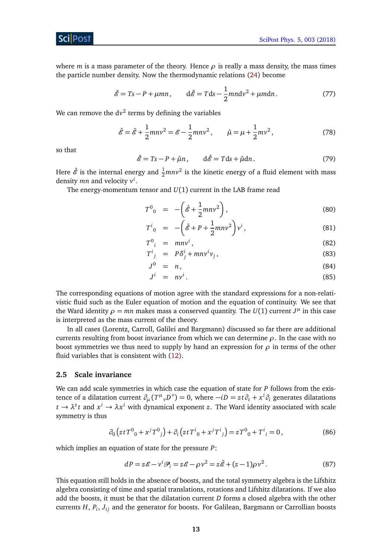where *m* is a mass parameter of the theory. Hence  $\rho$  is really a mass density, the mass times the particle number density. Now the thermodynamic relations [\(24\)](#page-8-4) become

$$
\tilde{\mathscr{E}} = Ts - P + \mu mn, \qquad d\tilde{\mathscr{E}} = Tds - \frac{1}{2}mn dv^2 + \mu m dn. \tag{77}
$$

We can remove the  $dv^2$  terms by defining the variables

$$
\hat{\mathcal{E}} = \tilde{\mathcal{E}} + \frac{1}{2} m n v^2 = \mathcal{E} - \frac{1}{2} m n v^2, \qquad \hat{\mu} = \mu + \frac{1}{2} m v^2,
$$
 (78)

<span id="page-13-2"></span>so that

<span id="page-13-3"></span>
$$
\hat{\mathscr{E}} = Ts - P + \hat{\mu}n, \qquad d\hat{\mathscr{E}} = Tds + \hat{\mu}dn. \tag{79}
$$

Here  $\hat{\mathscr{E}}$  is the internal energy and  $\frac{1}{2}mnv^2$  is the kinetic energy of a fluid element with mass density *mn* and velocity *v i* .

The energy-momentum tensor and *U*(1) current in the LAB frame read

$$
T^0{}_0 = -\left(\hat{\mathcal{E}} + \frac{1}{2}mnv^2\right),\tag{80}
$$

$$
T^{i}{}_{0} = -\left(\hat{\mathcal{E}} + P + \frac{1}{2}mnv^{2}\right)v^{i},\tag{81}
$$

$$
T^0_{\ \ i} \ = \ m n v^i \,, \tag{82}
$$

$$
T^i{}_j = P\delta^i_j + m n v^i v_j,\tag{83}
$$

$$
J^0 = n, \tag{84}
$$

$$
J^i = n v^i. \tag{85}
$$

The corresponding equations of motion agree with the standard expressions for a non-relativistic fluid such as the Euler equation of motion and the equation of continuity. We see that the Ward identity  $\rho = mn$  makes mass a conserved quantity. The  $U(1)$  current  $J^{\mu}$  in this case is interpreted as the mass current of the theory.

In all cases (Lorentz, Carroll, Galilei and Bargmann) discussed so far there are additional currents resulting from boost invariance from which we can determine *ρ*. In the case with no boost symmetries we thus need to supply by hand an expression for  $\rho$  in terms of the other fluid variables that is consistent with [\(12\)](#page-5-3).

#### <span id="page-13-0"></span>**2.5 Scale invariance**

We can add scale symmetries in which case the equation of state for *P* follows from the existence of a dilatation current  $\partial_\mu(T^\mu{}_\nu D^\nu)=0$ , where  $-iD=zt\partial_t+x^i\partial_i$  generates dilatations  $t \to \lambda^z t$  and  $x^i \to \lambda x^i$  with dynamical exponent *z*. The Ward identity associated with scale symmetry is thus

$$
\partial_0 \left( z t T^0{}_0 + x^j T^0{}_j \right) + \partial_i \left( z t T^i{}_0 + x^j T^i{}_j \right) = z T^0{}_0 + T^i{}_i = 0, \tag{86}
$$

which implies an equation of state for the pressure *P*:

<span id="page-13-1"></span>
$$
dP = z\mathcal{E} - v^i \mathcal{P}_i = z\mathcal{E} - \rho v^2 = z\tilde{\mathcal{E}} + (z - 1)\rho v^2.
$$
 (87)

This equation still holds in the absence of boosts, and the total symmetry algebra is the Lifshitz algebra consisting of time and spatial translations, rotations and Lifshitz dilatations. If we also add the boosts, it must be that the dilatation current *D* forms a closed algebra with the other currents *H*, *P<sup>i</sup>* , *Ji j* and the generator for boosts. For Galilean, Bargmann or Carrollian boosts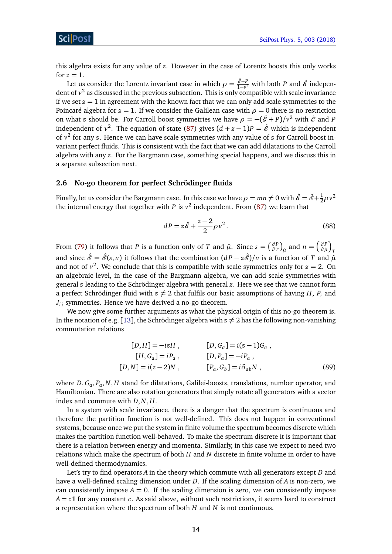this algebra exists for any value of *z*. However in the case of Lorentz boosts this only works for  $z = 1$ .

Let us consider the Lorentz invariant case in which  $\rho = \frac{\tilde{\mathcal{E}}+P}{1-v^2}$  with both *P* and  $\tilde{\mathcal{E}}$  independent of *v* 2 as discussed in the previous subsection. This is only compatible with scale invariance if we set  $z = 1$  in agreement with the known fact that we can only add scale symmetries to the Poincaré algebra for  $z = 1$ . If we consider the Galilean case with  $\rho = 0$  there is no restriction on what *z* should be. For Carroll boost symmetries we have  $\rho = -(\tilde{\mathscr{E}} + P)/v^2$  with  $\tilde{\mathscr{E}}$  and *P* independent of  $v^2$ . The equation of state [\(87\)](#page-13-1) gives  $(d + z - 1)P = \tilde{e}$  which is independent of *v* 2 for any *z*. Hence we can have scale symmetries with any value of *z* for Carroll boost invariant perfect fluids. This is consistent with the fact that we can add dilatations to the Carroll algebra with any *z*. For the Bargmann case, something special happens, and we discuss this in a separate subsection next.

### <span id="page-14-0"></span>**2.6 No-go theorem for perfect Schrödinger fluids**

Finally, let us consider the Bargmann case. In this case we have  $\rho = mn \neq 0$  with  $\hat{\mathscr{E}} = \tilde{\mathscr{E}} + \frac{1}{2}\rho v^2$ the internal energy that together with  $P$  is  $v^2$  independent. From [\(87\)](#page-13-1) we learn that

$$
dP = z\hat{\mathscr{E}} + \frac{z-2}{2}\rho v^2. \tag{88}
$$

From [\(79\)](#page-13-2) it follows that *P* is a function only of *T* and  $\hat{\mu}$ . Since  $s = \left(\frac{\partial P}{\partial T}\right)$  $\left(\frac{\partial P}{\partial T}\right)_{\hat{\mu}}$  and  $n = \left(\frac{\partial P}{\partial \hat{\mu}}\right)$ *∂ P a µ T* and since  $\hat{\mathscr{E}} = \hat{\mathscr{E}}(s, n)$  it follows that the combination  $(dP - z\hat{\mathscr{E}})/n$  is a function of *T* and  $\hat{\mu}$ and not of  $v^2$ . We conclude that this is compatible with scale symmetries only for  $z = 2$ . On an algebraic level, in the case of the Bargmann algebra, we can add scale symmetries with general *z* leading to the Schrödinger algebra with general *z*. Here we see that we cannot form a perfect Schrödinger fluid with  $z \neq 2$  that fulfils our basic assumptions of having *H*, *P<sub>i</sub>* and  $J_{ij}$  symmetries. Hence we have derived a no-go theorem.

We now give some further arguments as what the physical origin of this no-go theorem is. In the notation of e.g. [[13](#page-35-1)], the Schrödinger algebra with  $z \neq 2$  has the following non-vanishing commutation relations

$$
[D,H] = -izH, \t [D,G_a] = i(z-1)G_a,
$$
  
\n
$$
[H,G_a] = iP_a, \t [D,P_a] = -iP_a,
$$
  
\n
$$
[D,N] = i(z-2)N, \t [P_a,G_b] = i\delta_{ab}N,
$$
\n(89)

where *D*,*G<sup>a</sup>* , *P<sup>a</sup>* ,*N*, *H* stand for dilatations, Galilei-boosts, translations, number operator, and Hamiltonian. There are also rotation generators that simply rotate all generators with a vector index and commute with *D*,*N*, *H*.

In a system with scale invariance, there is a danger that the spectrum is continuous and therefore the partition function is not well-defined. This does not happen in conventional systems, because once we put the system in finite volume the spectrum becomes discrete which makes the partition function well-behaved. To make the spectrum discrete it is important that there is a relation between energy and momenta. Similarly, in this case we expect to need two relations which make the spectrum of both *H* and *N* discrete in finite volume in order to have well-defined thermodynamics.

Let's try to find operators *A* in the theory which commute with all generators except *D* and have a well-defined scaling dimension under *D*. If the scaling dimension of *A* is non-zero, we can consistently impose  $A = 0$ . If the scaling dimension is zero, we can consistently impose  $A = c\mathbf{1}$  for any constant *c*. As said above, without such restrictions, it seems hard to construct a representation where the spectrum of both *H* and *N* is not continuous.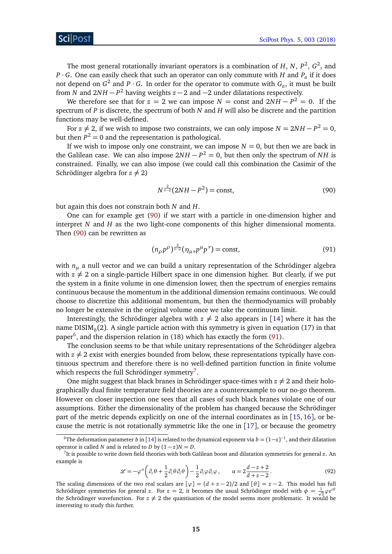The most general rotationally invariant operators is a combination of  $H$ ,  $N$ ,  $P^2$ ,  $G^2$ , and *P* · *G*. One can easily check that such an operator can only commute with *H* and  $P_a$  if it does not depend on  $G^2$  and  $P \cdot G$ . In order for the operator to commute with  $G_a$ , it must be built from *N* and 2*N H* − *P* <sup>2</sup> having weights *z* − 2 and −2 under dilatations respectively.

We therefore see that for  $z = 2$  we can impose  $N = \text{const}$  and  $2NH - P^2 = 0$ . If the spectrum of *P* is discrete, the spectrum of both *N* and *H* will also be discrete and the partition functions may be well-defined.

For  $z \neq 2$ , if we wish to impose two constraints, we can only impose  $N = 2NH - P^2 = 0$ , but then  $P^2 = 0$  and the representation is pathological.

If we wish to impose only one constraint, we can impose  $N = 0$ , but then we are back in the Galilean case. We can also impose  $2NH - P^2 = 0$ , but then only the spectrum of *NH* is constrained. Finally, we can also impose (we could call this combination the Casimir of the Schrödinger algebra for  $z \neq 2$ )

<span id="page-15-0"></span>
$$
N^{\frac{2}{z-2}}(2NH - P^2) = \text{const},\tag{90}
$$

but again this does not constrain both *N* and *H*.

One can for example get [\(90\)](#page-15-0) if we start with a particle in one-dimension higher and interpret *N* and *H* as the two light-cone components of this higher dimensional momenta. Then [\(90\)](#page-15-0) can be rewritten as

<span id="page-15-2"></span>
$$
(n_{\rho}p^{\rho})^{\frac{2}{z-2}}(\eta_{\mu\nu}p^{\mu}p^{\nu}) = \text{const},\tag{91}
$$

with  $n<sub>u</sub>$  a null vector and we can build a unitary representation of the Schrödinger algebra with  $z \neq 2$  on a single-particle Hilbert space in one dimension higher. But clearly, if we put the system in a finite volume in one dimension lower, then the spectrum of energies remains continuous because the momentum in the additional dimension remains continuous. We could choose to discretize this additional momentum, but then the thermodynamics will probably no longer be extensive in the original volume once we take the continuum limit.

Interestingly, the Schrödinger algebra with  $z \neq 2$  also appears in [[14](#page-35-2)] where it has the name DISIM*<sup>b</sup>* (2). A single particle action with this symmetry is given in equation (17) in that paper<sup>[6](#page-15-1)</sup>, and the dispersion relation in (18) which has exactly the form [\(91\)](#page-15-2).

The conclusion seems to be that while unitary representations of the Schrödinger algebra with  $z \neq 2$  exist with energies bounded from below, these representations typically have continuous spectrum and therefore there is no well-defined partition function in finite volume which respects the full Schrödinger symmetry<sup>[7](#page-15-3)</sup>.

One might suggest that black branes in Schrödinger space-times with  $z \neq 2$  and their holographically dual finite temperature field theories are a counterexample to our no-go theorem. However on closer inspection one sees that all cases of such black branes violate one of our assumptions. Either the dimensionality of the problem has changed because the Schrödinger part of the metric depends explicitly on one of the internal coordinates as in [[15,](#page-35-3) [16](#page-35-4)], or because the metric is not rotationally symmetric like the one in  $[17]$  $[17]$  $[17]$ , or because the geometry

$$
\mathcal{L} = -\varphi^{\alpha} \left( \partial_{t} \theta + \frac{1}{2} \partial_{i} \theta \partial_{i} \theta \right) - \frac{1}{2} \partial_{i} \varphi \partial_{i} \varphi , \qquad \alpha = 2 \frac{d - z + 2}{d + z - 2} . \tag{92}
$$

<span id="page-15-1"></span><sup>&</sup>lt;sup>6</sup>The deformation parameter *b* in [[14](#page-35-2)] is related to the dynamical exponent via  $b = (1-z)^{-1}$ , and their dilatation operator is called *N* and is related to *D* by  $(1-z)N = D$ .

<span id="page-15-3"></span><sup>7</sup> It is possible to write down field theories with both Galilean boost and dilatation symmetries for general *z*. An example is

The scaling dimensions of the two real scalars are  $[\varphi] = (d + z - 2)/2$  and  $[\theta] = z - 2$ . This model has full Schrödinger symmetries for general *z*. For  $z = 2$ , it becomes the usual Schrödinger model with  $\phi = \frac{1}{\sqrt{2}} \varphi e^{i\theta}$ the Schrödinger wavefunction. For  $z \neq 2$  the quantisation of the model seems more problematic. It would be interesting to study this further.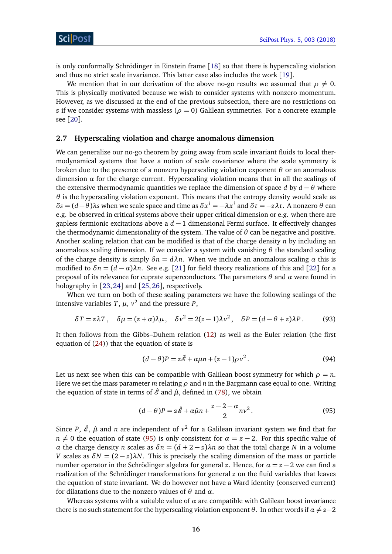is only conformally Schrödinger in Einstein frame [[18](#page-35-6)] so that there is hyperscaling violation and thus no strict scale invariance. This latter case also includes the work [[19](#page-35-7)].

We mention that in our derivation of the above no-go results we assumed that  $\rho \neq 0$ . This is physically motivated because we wish to consider systems with nonzero momentum. However, as we discussed at the end of the previous subsection, there are no restrictions on *z* if we consider systems with massless ( $\rho = 0$ ) Galilean symmetries. For a concrete example see [[20](#page-35-8)].

#### <span id="page-16-0"></span>**2.7 Hyperscaling violation and charge anomalous dimension**

We can generalize our no-go theorem by going away from scale invariant fluids to local thermodynamical systems that have a notion of scale covariance where the scale symmetry is broken due to the presence of a nonzero hyperscaling violation exponent *θ* or an anomalous dimension  $\alpha$  for the charge current. Hyperscaling violation means that in all the scalings of the extensive thermodynamic quantities we replace the dimension of space *d* by  $d - \theta$  where *θ* is the hyperscaling violation exponent. This means that the entropy density would scale as  $δs = (d − θ)λs$  when we scale space and time as  $δx<sup>i</sup> = −λx<sup>i</sup>$  and  $δt = −zλt$ . A nonzero  $θ$  can e.g. be observed in critical systems above their upper critical dimension or e.g. when there are gapless fermionic excitations above a *d* − 1 dimensional Fermi surface. It effectively changes the thermodynamic dimensionality of the system. The value of *θ* can be negative and positive. Another scaling relation that can be modified is that of the charge density *n* by including an anomalous scaling dimension. If we consider a system with vanishing  $\theta$  the standard scaling of the charge density is simply  $\delta n = d\lambda n$ . When we include an anomalous scaling  $\alpha$  this is modified to  $\delta n = (d - \alpha)\lambda n$ . See e.g. [[21](#page-35-9)] for field theory realizations of this and [[22](#page-35-10)] for a proposal of its relevance for cuprate superconductors. The parameters *θ* and *α* were found in holography in [[23,](#page-35-11) [24](#page-35-12)] and [[25,](#page-35-13) [26](#page-35-14)], respectively.

When we turn on both of these scaling parameters we have the following scalings of the intensive variables  $T$ ,  $\mu$ ,  $v^2$  and the pressure  $P$ ,

$$
\delta T = z\lambda T, \quad \delta \mu = (z + \alpha)\lambda \mu, \quad \delta \nu^2 = 2(z - 1)\lambda \nu^2, \quad \delta P = (d - \theta + z)\lambda P. \tag{93}
$$

It then follows from the Gibbs–Duhem relation [\(12\)](#page-5-3) as well as the Euler relation (the first equation of [\(24\)](#page-8-4)) that the equation of state is

<span id="page-16-2"></span><span id="page-16-1"></span>
$$
(d - \theta)P = z\tilde{\mathscr{E}} + \alpha\mu n + (z - 1)\rho v^2.
$$
 (94)

Let us next see when this can be compatible with Galilean boost symmetry for which  $\rho = n$ . Here we set the mass parameter *m* relating *ρ* and *n* in the Bargmann case equal to one. Writing the equation of state in terms of  $\hat{\mathcal{E}}$  and  $\hat{\mu}$ , defined in [\(78\)](#page-13-3), we obtain

$$
(d - \theta)P = z\hat{\mathscr{E}} + \alpha\hat{\mu}n + \frac{z - 2 - \alpha}{2}nv^2.
$$
\n(95)

Since *P*,  $\hat{\mathscr{E}}$ ,  $\hat{\mu}$  and *n* are independent of  $v^2$  for a Galilean invariant system we find that for *n*  $\neq$  0 the equation of state [\(95\)](#page-16-1) is only consistent for  $\alpha$  = *z* − 2. For this specific value of *α* the charge density *n* scales as  $δn = (d + 2 − z)λn$  so that the total charge *N* in a volume *V* scales as  $\delta N = (2 - z)\lambda N$ . This is precisely the scaling dimension of the mass or particle number operator in the Schrödinger algebra for general *z*. Hence, for  $\alpha = z - 2$  we can find a realization of the Schrödinger transformations for general *z* on the fluid variables that leaves the equation of state invariant. We do however not have a Ward identity (conserved current) for dilatations due to the nonzero values of *θ* and *α*.

Whereas systems with a suitable value of  $\alpha$  are compatible with Galilean boost invariance there is no such statement for the hyperscaling violation exponent  $\theta$ . In other words if  $\alpha \neq z-2$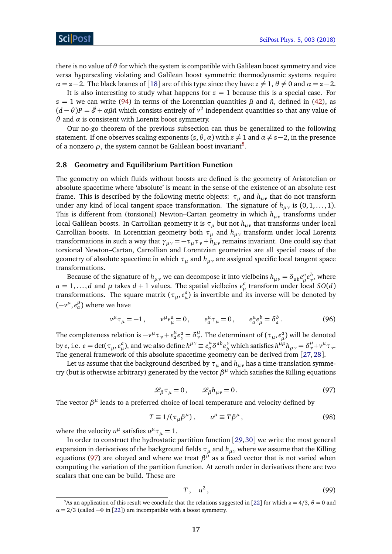there is no value of *θ* for which the system is compatible with Galilean boost symmetry and vice versa hyperscaling violating and Galilean boost symmetric thermodynamic systems require  $\alpha = z - 2$ . The black branes of [[18](#page-35-6)] are of this type since they have  $z \neq 1$ ,  $\theta \neq 0$  and  $\alpha = z - 2$ .

It is also interesting to study what happens for  $z = 1$  because this is a special case. For  $z = 1$  we can write [\(94\)](#page-16-2) in terms of the Lorentzian quantities  $\tilde{\mu}$  and  $\tilde{n}$ , defined in [\(42\)](#page-10-1), as  $(d - \theta)P = \tilde{\mathscr{E}} + \alpha \tilde{\mu} \tilde{n}$  which consists entirely of  $v^2$  independent quantities so that any value of *θ* and *α* is consistent with Lorentz boost symmetry.

Our no-go theorem of the previous subsection can thus be generalized to the following statement. If one observes scaling exponents  $(z, \theta, \alpha)$  with  $z \neq 1$  and  $\alpha \neq z-2$ , in the presence of a nonzero  $\rho$ , the system cannot be Galilean boost invariant<sup>[8](#page-17-1)</sup>.

### <span id="page-17-0"></span>**2.8 Geometry and Equilibrium Partition Function**

The geometry on which fluids without boosts are defined is the geometry of Aristotelian or absolute spacetime where 'absolute' is meant in the sense of the existence of an absolute rest frame. This is described by the following metric objects:  $\tau_u$  and  $h_{\mu\nu}$  that do not transform under any kind of local tangent space transformation. The signature of  $h_{\mu\nu}$  is  $(0, 1, \dots, 1)$ . This is different from (torsional) Newton–Cartan geometry in which *hµν* transforms under local Galilean boosts. In Carrollian geometry it is  $\tau_{\mu}$  but not  $h_{\mu\nu}$  that transforms under local Carrollian boosts. In Lorentzian geometry both  $\tau_{\mu}$  and  $h_{\mu\nu}$  transform under local Lorentz transformations in such a way that  $\gamma_{\mu\nu} = -\tau_{\mu}\tau_{\nu} + h_{\mu\nu}$  remains invariant. One could say that torsional Newton–Cartan, Carrollian and Lorentzian geometries are all special cases of the geometry of absolute spacetime in which *τ<sup>µ</sup>* and *hµν* are assigned specific local tangent space transformations.

Because of the signature of  $h_{\mu\nu}$  we can decompose it into vielbeins  $h_{\mu\nu} = \delta_{ab}e^a_\mu e^b_\nu$ , where  $a = 1, \ldots, d$  and  $\mu$  takes  $d + 1$  values. The spatial vielbeins  $e^a_\mu$  transform under local *SO*(*d*) transformations. The square matrix  $(\tau_{\mu}, e_{\mu}^a)$  is invertible and its inverse will be denoted by  $(-v^{\mu}, e^{\mu}_{a})$  where we have

$$
v^{\mu}\tau_{\mu} = -1, \qquad v^{\mu}e_{\mu}^{a} = 0, \qquad e_{a}^{\mu}\tau_{\mu} = 0, \qquad e_{a}^{\mu}e_{\mu}^{b} = \delta_{a}^{b}.
$$
 (96)

The completeness relation is  $-v^\mu\tau_\nu+e^\mu_a e^a_\nu=\delta^\mu_\nu$ . The determinant of  $(\tau_\mu,e^a_\mu)$  will be denoted by e, i.e.  $e = \det(\tau_\mu, e^a_\mu)$ , and we also define  $h^{\mu\nu} \equiv e^\mu_a \delta^{ab} e^\nu_b$  which satisfies  $h^{\mu\rho} h_{\rho\nu} = \delta^\mu_\nu + \nu^\mu_\nu \tau_\nu$ . The general framework of this absolute spacetime geometry can be derived from [[27,](#page-35-15)[28](#page-36-0)].

<span id="page-17-2"></span>Let us assume that the background described by  $\tau$ <sub>*µ*</sub> and  $h$ <sub>*µy*</sub> has a time-translation symmetry (but is otherwise arbitrary) generated by the vector  $β<sup>μ</sup>$  which satisfies the Killing equations

$$
\mathcal{L}_{\beta}\tau_{\mu}=0, \qquad \mathcal{L}_{\beta}h_{\mu\nu}=0. \tag{97}
$$

The vector  $β<sup>μ</sup>$  leads to a preferred choice of local temperature and velocity defined by

$$
T \equiv 1/(\tau_{\mu}\beta^{\mu}), \qquad u^{\mu} \equiv T\beta^{\mu}, \tag{98}
$$

where the velocity  $u^{\mu}$  satisfies  $u^{\mu} \tau_{\mu} = 1$ .

In order to construct the hydrostatic partition function [[29,](#page-36-1)[30](#page-36-2)] we write the most general expansion in derivatives of the background fields  $\tau$ <sub>*µ*</sub> and  $h$ <sub>*µ*</sub>, where we assume that the Killing equations [\(97\)](#page-17-2) are obeyed and where we treat *β µ* as a fixed vector that is not varied when computing the variation of the partition function. At zeroth order in derivatives there are two scalars that one can be build. These are

$$
T, \quad u^2, \tag{99}
$$

<span id="page-17-1"></span><sup>&</sup>lt;sup>8</sup>As an application of this result we conclude that the relations suggested in [[22](#page-35-10)] for which  $z = 4/3$ ,  $\theta = 0$  and  $\alpha = 2/3$  (called  $-\Phi$  in [[22](#page-35-10)]) are incompatible with a boost symmetry.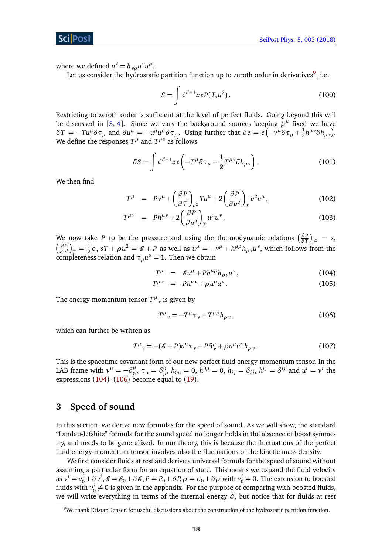where we defined  $u^2 = h_{\nu\rho} u^{\nu} u^{\rho}$ .

Let us consider the hydrostatic partition function up to zeroth order in derivatives $^9$  $^9$ , i.e.

$$
S = \int d^{d+1}x e P(T, u^2). \tag{100}
$$

Restricting to zeroth order is sufficient at the level of perfect fluids. Going beyond this will be discussed in [[3,](#page-34-3) [4](#page-34-4)]. Since we vary the background sources keeping  $\beta^{\mu}$  fixed we have  $\delta T = -Tu^{\mu}\delta\tau_{\mu}$  and  $\delta u^{\mu} = -u^{\mu}u^{\rho}\delta\tau_{\rho}$ . Using further that  $\delta e = e(-v^{\mu}\delta\tau_{\mu} + \frac{1}{2}$  $\frac{1}{2}h^{\mu\nu}\delta h_{\mu\nu}$ ). We define the responses  $T^{\mu}$  and  $T^{\mu\nu}$  as follows

$$
\delta S = \int d^{d+1}x e \left( -T^{\mu} \delta \tau_{\mu} + \frac{1}{2} T^{\mu \nu} \delta h_{\mu \nu} \right). \tag{101}
$$

We then find

$$
T^{\mu} = P v^{\mu} + \left(\frac{\partial P}{\partial T}\right)_{u^2} T u^{\mu} + 2 \left(\frac{\partial P}{\partial u^2}\right)_T u^2 u^{\mu}, \qquad (102)
$$

$$
T^{\mu\nu} = P h^{\mu\nu} + 2 \left( \frac{\partial P}{\partial u^2} \right)_T u^{\mu} u^{\nu}.
$$
 (103)

We now take *P* to be the pressure and using the thermodynamic relations  $\left(\frac{\partial P}{\partial T}\right)$  $\frac{\partial P}{\partial T}\Big|_{u^2} = s,$  *∂ P*  $\frac{\partial P}{\partial u^2}\Big|_T = \frac{1}{2}\rho$ ,  $sT + \rho u^2 = \mathcal{E} + P$  as well as  $u^{\mu} = -v^{\mu} + h^{\mu\rho}h_{\rho\nu}u^{\nu}$ , which follows from the completeness relation and  $\tau_\mu u^\mu = 1$ . Then we obtain

<span id="page-18-2"></span>
$$
T^{\mu} = \mathcal{E}u^{\mu} + Ph^{\mu\rho}h_{\rho\nu}u^{\nu}, \qquad (104)
$$

$$
T^{\mu\nu} = Ph^{\mu\nu} + \rho u^{\mu} u^{\nu}.
$$
 (105)

The energy-momentum tensor  $T^{\mu}{}_{\nu}$  is given by

<span id="page-18-3"></span>
$$
T^{\mu}{}_{\nu} = -T^{\mu}\tau_{\nu} + T^{\mu\rho}h_{\rho\nu},\tag{106}
$$

which can further be written as

$$
T^{\mu}{}_{\nu} = -(\mathcal{E} + P)u^{\mu}\tau_{\nu} + P\delta^{\mu}_{\nu} + \rho u^{\mu}u^{\rho}h_{\rho\nu} \,. \tag{107}
$$

This is the spacetime covariant form of our new perfect fluid energy-momentum tensor. In the LAB frame with  $v^{\mu} = -\delta^{\mu}_{0}$  $\int_0^{\mu}$ ,  $\tau_{\mu} = \delta_{\mu}^0$ ,  $h_{0\mu} = 0$ ,  $h^{0\mu} = 0$ ,  $h_{ij} = \delta_{ij}$ ,  $h^{ij} = \delta^{ij}$  and  $u^i = v^i$  the expressions [\(104\)](#page-18-2)–[\(106\)](#page-18-3) become equal to [\(19\)](#page-7-0).

## <span id="page-18-0"></span>**3 Speed of sound**

In this section, we derive new formulas for the speed of sound. As we will show, the standard "Landau-Lifshitz" formula for the sound speed no longer holds in the absence of boost symmetry, and needs to be generalized. In our theory, this is because the fluctuations of the perfect fluid energy-momentum tensor involves also the fluctuations of the kinetic mass density.

We first consider fluids at rest and derive a universal formula for the speed of sound without assuming a particular form for an equation of state. This means we expand the fluid velocity as  $v^i = v_0^i + \delta v^i$ ,  $\mathcal{E} = \mathcal{E}_0 + \delta \mathcal{E}$ ,  $P = P_0 + \delta P$ ,  $\rho = \rho_0 + \delta \rho$  with  $v_0^i = 0$ . The extension to boosted fluids with  $v_0^i \neq 0$  is given in the appendix. For the purpose of comparing with boosted fluids, we will write everything in terms of the internal energy  $\tilde{\mathscr{E}}$ , but notice that for fluids at rest

<span id="page-18-1"></span><sup>9</sup>We thank Kristan Jensen for useful discussions about the construction of the hydrostatic partition function.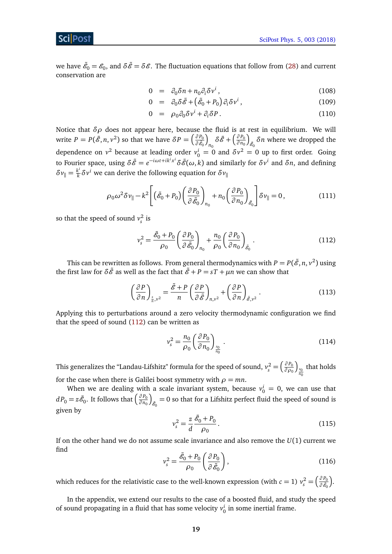## ScilPos<sup>.</sup>

we have  $\tilde{e_0}=e_0$ , and  $\delta\tilde{e}=\delta\mathscr{E}$ . The fluctuation equations that follow from [\(28\)](#page-8-3) and current conservation are

$$
0 = \partial_0 \delta n + n_0 \partial_i \delta v^i, \qquad (108)
$$

$$
0 = \partial_0 \delta \tilde{\mathscr{E}} + \left( \tilde{\mathscr{E}}_0 + P_0 \right) \partial_i \delta v^i, \tag{109}
$$

$$
0 = \rho_0 \partial_0 \delta v^i + \partial_i \delta P. \tag{110}
$$

Notice that *δρ* does not appear here, because the fluid is at rest in equilibrium. We will write  $P = P(\tilde{\mathscr{E}}, n, v^2)$  so that we have  $\delta P = \left(\frac{\partial P_0}{\partial \tilde{\mathscr{E}}}\right)$ ∂ $\tilde{\mathscr{E}}_0$ ſ  $\delta \tilde{\mathscr{E}} + \left( \frac{\partial P_0}{\partial n_0} \right)$ *∂ n*<sup>0</sup> ſ  $\delta$ <sup> $\delta$ </sup>*n* where we dropped the dependence on  $v^2$  because at leading order  $v_0^i = 0$  and  $\delta v^2 = 0$  up to first order. Going to Fourier space, using  $\delta\tilde{\mathscr{E}}=e^{-i\omega t+i k^i x^i}\delta\tilde{\mathscr{E}}(\omega,k)$  and similarly for  $\delta v^i$  and  $\delta n$ , and defining  $\delta v_{\parallel} = \frac{k^i}{k}$  $\frac{k^{\mu}}{k} \delta v^{i}$  we can derive the following equation for  $\delta v_{\parallel}$ 

$$
\rho_0 \omega^2 \delta v_{\parallel} - k^2 \left[ \left( \tilde{\mathcal{E}}_0 + P_0 \right) \left( \frac{\partial P_0}{\partial \tilde{\mathcal{E}}_0} \right)_{n_0} + n_0 \left( \frac{\partial P_0}{\partial n_0} \right)_{\tilde{\mathcal{E}}_0} \right] \delta v_{\parallel} = 0, \tag{111}
$$

so that the speed of sound  $v_s^2$  is

<span id="page-19-0"></span>
$$
v_s^2 = \frac{\tilde{\mathscr{E}}_0 + P_0}{\rho_0} \left( \frac{\partial P_0}{\partial \tilde{\mathscr{E}}_0} \right)_{n_0} + \frac{n_0}{\rho_0} \left( \frac{\partial P_0}{\partial n_0} \right)_{\tilde{\mathscr{E}}_0}.
$$
 (112)

This can be rewritten as follows. From general thermodynamics with  $P = P(\tilde{\mathcal{E}}, n, v^2)$  using the first law for  $\delta \tilde{\mathcal{E}}$  as well as the fact that  $\tilde{\mathcal{E}} + P = sT + \mu n$  we can show that

$$
\left(\frac{\partial P}{\partial n}\right)_{\frac{s}{n},\nu^2} = \frac{\tilde{\mathscr{E}} + P}{n} \left(\frac{\partial P}{\partial \tilde{\mathscr{E}}}\right)_{n,\nu^2} + \left(\frac{\partial P}{\partial n}\right)_{\tilde{\mathscr{E}},\nu^2}.
$$
\n(113)

Applying this to perturbations around a zero velocity thermodynamic configuration we find that the speed of sound  $(112)$  can be written as

$$
v_s^2 = \frac{n_0}{\rho_0} \left(\frac{\partial P_0}{\partial n_0}\right)_{\frac{s_0}{n_0}}.
$$
\n(114)

This generalizes the "Landau-Lifshitz" formula for the speed of sound,  $v_s^2 = \left(\frac{\partial P_0}{\partial \rho_0}\right)$ *∂ ρ*<sup>0</sup>  $\int_{\frac{s_0}{n_0}}$ that holds for the case when there is Galilei boost symmetry with  $\rho = mn$ .

When we are dealing with a scale invariant system, because  $v_0^i = 0$ , we can use that  $dP_0 = z\tilde{\mathscr{E}}_0.$  It follows that  $\left(\frac{\partial P_0}{\partial n_0}\right)$ *∂ n*<sup>0</sup> λ  $_{\tilde{\mathscr{E}}_0}=0$  so that for a Lifshitz perfect fluid the speed of sound is given by

$$
v_s^2 = \frac{z}{d} \frac{\tilde{\mathscr{E}}_0 + P_0}{\rho_0} \,. \tag{115}
$$

<span id="page-19-1"></span>If on the other hand we do not assume scale invariance and also remove the *U*(1) current we find

$$
v_s^2 = \frac{\tilde{\mathcal{E}}_0 + P_0}{\rho_0} \left( \frac{\partial P_0}{\partial \tilde{\mathcal{E}}_0} \right),\tag{116}
$$

which reduces for the relativistic case to the well-known expression (with *c* = 1)  $v_s^2 = \left(\frac{\partial P_0}{\partial \tilde{\mathscr{E}}_0} \right)$  $\partial \tilde{\mathscr{E}}_0$ .

In the appendix, we extend our results to the case of a boosted fluid, and study the speed of sound propagating in a fluid that has some velocity  $v_0^i$  in some inertial frame.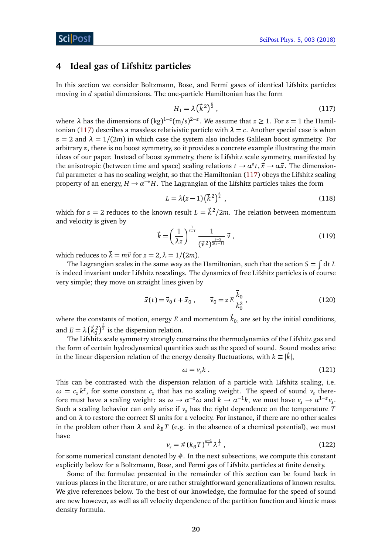## <span id="page-20-0"></span>**4 Ideal gas of Lifshitz particles**

In this section we consider Boltzmann, Bose, and Fermi gases of identical Lifshitz particles moving in *d* spatial dimensions. The one-particle Hamiltonian has the form

<span id="page-20-1"></span>
$$
H_1 = \lambda \left(\vec{k}^2\right)^{\frac{z}{2}},\tag{117}
$$

where  $\lambda$  has the dimensions of  $(kg)^{1-z} (m/s)^{2-z}$ . We assume that  $z \ge 1$ . For  $z = 1$  the Hamil-tonian [\(117\)](#page-20-1) describes a massless relativistic particle with  $\lambda = c$ . Another special case is when  $z = 2$  and  $\lambda = 1/(2m)$  in which case the system also includes Galilean boost symmetry. For arbitrary *z*, there is no boost symmetry, so it provides a concrete example illustrating the main ideas of our paper. Instead of boost symmetry, there is Lifshitz scale symmetry, manifested by the anisotropic (between time and space) scaling relations  $t \to a^z t$ ,  $\vec{x} \to a\vec{x}$ . The dimensionful parameter  $\alpha$  has no scaling weight, so that the Hamiltonian [\(117\)](#page-20-1) obeys the Lifshitz scaling property of an energy,  $H \to \alpha^{-z}H$ . The Lagrangian of the Lifshitz particles takes the form

$$
L = \lambda(z - 1) (\vec{k}^2)^{\frac{z}{2}}, \qquad (118)
$$

which for  $z = 2$  reduces to the known result  $L = \vec{k}^2/2m$ . The relation between momentum and velocity is given by

$$
\vec{k} = \left(\frac{1}{\lambda z}\right)^{\frac{1}{z-1}} \frac{1}{\left(\vec{v}^2\right)^{\frac{z-2}{2(z-1)}}} \vec{v} \tag{119}
$$

which reduces to  $\vec{k} = m\vec{v}$  for  $z = 2$ ,  $\lambda = 1/(2m)$ .

The Lagrangian scales in the same way as the Hamiltonian, such that the action  $S=\int\mathrm{d} t\, L$ is indeed invariant under Lifshitz rescalings. The dynamics of free Lifshitz particles is of course very simple; they move on straight lines given by

$$
\vec{x}(t) = \vec{v}_0 t + \vec{x}_0 , \qquad \vec{v}_0 = z E \frac{\vec{k}_0}{k_0^2} , \qquad (120)
$$

where the constants of motion, energy  $E$  and momentum  $\vec{k}_0$ , are set by the initial conditions, and  $E = \lambda \left(\vec{k}_0^2\right)^{\frac{2}{2}}$  is the dispersion relation.

The Lifshitz scale symmetry strongly constrains the thermodynamics of the Lifshitz gas and the form of certain hydrodynamical quantities such as the speed of sound. Sound modes arise in the linear dispersion relation of the energy density fluctuations, with  $k \equiv |\vec{k}|$ ,

$$
\omega = v_s k \tag{121}
$$

This can be contrasted with the dispersion relation of a particle with Lifshitz scaling, i.e.  $\omega = c_z k^z$ , for some constant  $c_z$  that has no scaling weight. The speed of sound  $v_s$  therefore must have a scaling weight: as  $\omega \to \alpha^{-z} \omega$  and  $k \to \alpha^{-1} k$ , we must have  $v_s \to \alpha^{1-z} v_s$ . Such a scaling behavior can only arise if  $v<sub>s</sub>$  has the right dependence on the temperature *T* and on  $\lambda$  to restore the correct SI units for a velocity. For instance, if there are no other scales in the problem other than  $\lambda$  and  $k_B T$  (e.g. in the absence of a chemical potential), we must have

$$
v_s = \# \left( k_B T \right)^{\frac{z-1}{z}} \lambda^{\frac{1}{z}} \tag{122}
$$

<span id="page-20-2"></span>for some numerical constant denoted by  $#$ . In the next subsections, we compute this constant explicitly below for a Boltzmann, Bose, and Fermi gas of Lifshitz particles at finite density.

Some of the formulae presented in the remainder of this section can be found back in various places in the literature, or are rather straightforward generalizations of known results. We give references below. To the best of our knowledge, the formulae for the speed of sound are new however, as well as all velocity dependence of the partition function and kinetic mass density formula.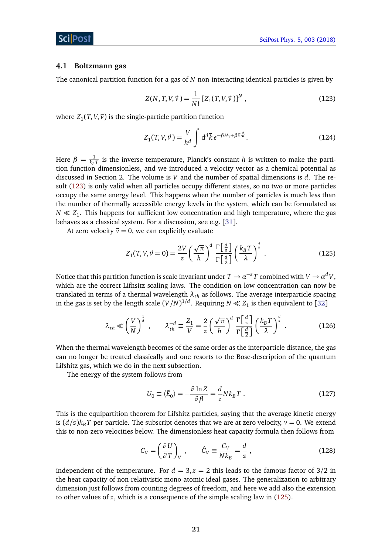#### <span id="page-21-0"></span>**4.1 Boltzmann gas**

The canonical partition function for a gas of *N* non-interacting identical particles is given by

<span id="page-21-1"></span>
$$
Z(N, T, V, \vec{v}) = \frac{1}{N!} [Z_1(T, V, \vec{v})]^N , \qquad (123)
$$

where  $Z_1(T, V, \vec{v})$  is the single-particle partition function

$$
Z_1(T, V, \vec{v}) = \frac{V}{h^d} \int d^d \vec{k} e^{-\beta H_1 + \beta \vec{v} \cdot \vec{k}}.
$$
 (124)

Here  $\beta = \frac{1}{k_B}$  $\frac{1}{k_B T}$  is the inverse temperature, Planck's constant *h* is written to make the partition function dimensionless, and we introduced a velocity vector as a chemical potential as discussed in Section 2. The volume is *V* and the number of spatial dimensions is *d*. The result [\(123\)](#page-21-1) is only valid when all particles occupy different states, so no two or more particles occupy the same energy level. This happens when the number of particles is much less than the number of thermally accessible energy levels in the system, which can be formulated as  $N \ll Z_1$ . This happens for sufficient low concentration and high temperature, where the gas behaves as a classical system. For a discussion, see e.g. [[31](#page-36-3)].

At zero velocity  $\vec{v} = 0$ , we can explicitly evaluate

<span id="page-21-2"></span>
$$
Z_1(T, V, \vec{v} = 0) = \frac{2V}{z} \left(\frac{\sqrt{\pi}}{h}\right)^d \frac{\Gamma\left[\frac{d}{z}\right]}{\Gamma\left[\frac{d}{2}\right]} \left(\frac{k_B T}{\lambda}\right)^{\frac{d}{z}}.
$$
 (125)

Notice that this partition function is scale invariant under  $T\to a^{-z}T$  combined with  $V\to a^dV,$ which are the correct Lifhsitz scaling laws. The condition on low concentration can now be translated in terms of a thermal wavelength *λth* as follows. The average interparticle spacing in the gas is set by the length scale  $(V/N)^{1/d}$ . Requiring  $N \ll Z_1$  is then equivalent to [[32](#page-36-4)]

$$
\lambda_{th} \ll \left(\frac{V}{N}\right)^{\frac{1}{d}}, \qquad \lambda_{th}^{-d} \equiv \frac{Z_1}{V} = \frac{2}{z} \left(\frac{\sqrt{\pi}}{h}\right)^d \frac{\Gamma\left[\frac{d}{z}\right]}{\Gamma\left[\frac{d}{2}\right]} \left(\frac{k_B T}{\lambda}\right)^{\frac{d}{z}}.
$$
 (126)

When the thermal wavelength becomes of the same order as the interparticle distance, the gas can no longer be treated classically and one resorts to the Bose-description of the quantum Lifshitz gas, which we do in the next subsection.

The energy of the system follows from

<span id="page-21-3"></span>
$$
U_0 \equiv \langle \tilde{E}_0 \rangle = -\frac{\partial \ln Z}{\partial \beta} = \frac{d}{z} N k_B T \ . \tag{127}
$$

This is the equipartition theorem for Lifshitz particles, saying that the average kinetic energy is  $(d/z)$ *k<sub>B</sub> T* per particle. The subscript denotes that we are at zero velocity,  $v = 0$ . We extend this to non-zero velocities below. The dimensionless heat capacity formula then follows from

$$
C_V = \left(\frac{\partial U}{\partial T}\right)_V, \qquad \hat{C}_V \equiv \frac{C_V}{N k_B} = \frac{d}{z}, \qquad (128)
$$

independent of the temperature. For  $d = 3$ ,  $z = 2$  this leads to the famous factor of  $3/2$  in the heat capacity of non-relativistic mono-atomic ideal gases. The generalization to arbitrary dimension just follows from counting degrees of freedom, and here we add also the extension to other values of *z*, which is a consequence of the simple scaling law in [\(125\)](#page-21-2).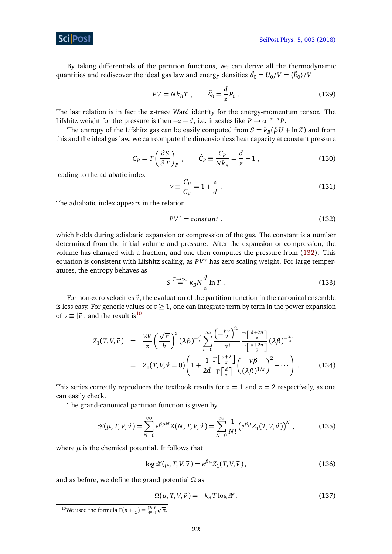By taking differentials of the partition functions, we can derive all the thermodynamic quantities and rediscover the ideal gas law and energy densities  $\tilde{\mathscr{E}}_0 = U_0/V = \langle \tilde{E}_0 \rangle /V$ 

<span id="page-22-4"></span>
$$
PV = Nk_B T \ , \qquad \tilde{\mathcal{E}}_0 = \frac{d}{z} P_0 \ . \tag{129}
$$

The last relation is in fact the *z*-trace Ward identity for the energy-momentum tensor. The Lifshitz weight for the pressure is then  $-z-d$ , i.e. it scales like  $P \to \alpha^{-z-d}P$ .

<span id="page-22-5"></span>The entropy of the Lifshitz gas can be easily computed from  $S = k_B(\beta U + \ln Z)$  and from this and the ideal gas law, we can compute the dimensionless heat capacity at constant pressure

$$
C_P = T \left(\frac{\partial S}{\partial T}\right)_P, \qquad \hat{C}_P \equiv \frac{C_P}{N k_B} = \frac{d}{z} + 1, \qquad (130)
$$

leading to the adiabatic index

<span id="page-22-0"></span>
$$
\gamma \equiv \frac{C_P}{C_V} = 1 + \frac{z}{d} \tag{131}
$$

The adiabatic index appears in the relation

$$
PV^{\gamma} = constant , \qquad (132)
$$

which holds during adiabatic expansion or compression of the gas. The constant is a number determined from the initial volume and pressure. After the expansion or compression, the volume has changed with a fraction, and one then computes the pressure from [\(132\)](#page-22-0). This equation is consistent with Lifshitz scaling, as *PV<sup>γ</sup>* has zero scaling weight. For large temperatures, the entropy behaves as

$$
S \stackrel{T \to \infty}{=} k_B N \frac{d}{z} \ln T \ . \tag{133}
$$

For non-zero velocities  $\vec{v}$ , the evaluation of the partition function in the canonical ensemble is less easy. For generic values of  $z \geq 1$ , one can integrate term by term in the power expansion of  $v \equiv |\vec{v}|$ , and the result is<sup>[10](#page-22-1)</sup>

<span id="page-22-3"></span>
$$
Z_1(T, V, \vec{v}) = \frac{2V}{z} \left(\frac{\sqrt{\pi}}{h}\right)^d (\lambda \beta)^{-\frac{d}{z}} \sum_{n=0}^{\infty} \frac{\left(-\frac{\beta v}{2}\right)^{2n}}{n!} \frac{\Gamma\left[\frac{d+2n}{z}\right]}{\Gamma\left[\frac{d+2n}{2}\right]} (\lambda \beta)^{-\frac{2n}{z}}
$$
  

$$
= Z_1(T, V, \vec{v} = 0) \left(1 + \frac{1}{2d} \frac{\Gamma\left[\frac{d+2}{z}\right]}{\Gamma\left[\frac{d}{z}\right]} \left(\frac{v\beta}{(\lambda \beta)^{1/z}}\right)^2 + \cdots\right).
$$
(134)

This series correctly reproduces the textbook results for  $z = 1$  and  $z = 2$  respectively, as one can easily check.

The grand-canonical partition function is given by

$$
\mathscr{Z}(\mu, T, V, \vec{v}) = \sum_{N=0}^{\infty} e^{\beta \mu N} Z(N, T, V, \vec{v}) = \sum_{N=0}^{\infty} \frac{1}{N!} \left( e^{\beta \mu} Z_1(T, V, \vec{v}) \right)^N, \tag{135}
$$

where  $\mu$  is the chemical potential. It follows that

<span id="page-22-2"></span>
$$
\log \mathcal{Z}(\mu, T, V, \vec{v}) = e^{\beta \mu} Z_1(T, V, \vec{v}), \qquad (136)
$$

and as before, we define the grand potential *Ω* as

$$
\Omega(\mu, T, V, \vec{v}) = -k_B T \log \mathcal{Z}.
$$
\n(137)

<span id="page-22-1"></span><sup>10</sup>We used the formula  $Γ(n + \frac{1}{2}) = \frac{(2n)!}{4^n n!}$ p *π*.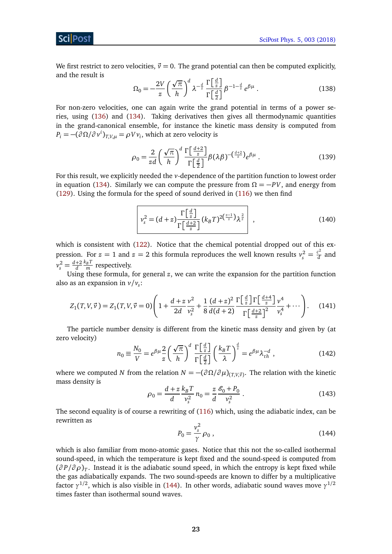We first restrict to zero velocities,  $\vec{v} = 0$ . The grand potential can then be computed explicitly, and the result is

$$
\Omega_0 = -\frac{2V}{z} \left(\frac{\sqrt{\pi}}{h}\right)^d \lambda^{-\frac{d}{z}} \frac{\Gamma\left[\frac{d}{z}\right]}{\Gamma\left[\frac{d}{2}\right]} \beta^{-1-\frac{d}{z}} e^{\beta \mu} . \tag{138}
$$

For non-zero velocities, one can again write the grand potential in terms of a power series, using [\(136\)](#page-22-2) and [\(134\)](#page-22-3). Taking derivatives then gives all thermodynamic quantities in the grand-canonical ensemble, for instance the kinetic mass density is computed from  $P_i = -(\partial \Omega / \partial v^i)_{T,V,\mu} = \rho V v_i$ , which at zero velocity is

$$
\rho_0 = \frac{2}{zd} \left(\frac{\sqrt{\pi}}{h}\right)^d \frac{\Gamma\left[\frac{d+2}{z}\right]}{\Gamma\left[\frac{d}{2}\right]} \beta(\lambda \beta)^{-(\frac{d+2}{z})} e^{\beta \mu} \,. \tag{139}
$$

For this result, we explicitly needed the *v*-dependence of the partition function to lowest order in equation [\(134\)](#page-22-3). Similarly we can compute the pressure from  $\Omega = -PV$ , and energy from [\(129\)](#page-22-4). Using the formula for the speed of sound derived in [\(116\)](#page-19-1) we then find

<span id="page-23-1"></span>
$$
v_s^2 = (d+z)\frac{\Gamma\left[\frac{d}{z}\right]}{\Gamma\left[\frac{d+2}{z}\right]}(k_B T)^{2\left(\frac{z-1}{z}\right)}\lambda^{\frac{2}{z}}\,,\tag{140}
$$

which is consistent with [\(122\)](#page-20-2). Notice that the chemical potential dropped out of this expression. For  $z = 1$  and  $z = 2$  this formula reproduces the well known results  $v_s^2 = \frac{c^2}{d}$  $\frac{c}{d}$  and  $v_s^2 = \frac{d+2}{d} \frac{k_B T}{m}$  respectively.

Using these formula, for general *z*, we can write the expansion for the partition function also as an expansion in  $v/v_s$ :

$$
Z_1(T, V, \vec{v}) = Z_1(T, V, \vec{v}) = 0 \left( 1 + \frac{d + z}{2d} \frac{v^2}{v_s^2} + \frac{1}{8} \frac{(d + z)^2}{d(d + 2)} \frac{\Gamma\left[\frac{d}{z}\right] \Gamma\left[\frac{d + 4}{z}\right]}{\Gamma\left[\frac{d + 2}{z}\right]^2} \frac{v^4}{v_s^4} + \cdots \right). \tag{141}
$$

The particle number density is different from the kinetic mass density and given by (at zero velocity)

$$
n_0 \equiv \frac{N_0}{V} = e^{\beta \mu} \frac{2}{z} \left(\frac{\sqrt{\pi}}{h}\right)^d \frac{\Gamma\left[\frac{d}{z}\right]}{\Gamma\left[\frac{d}{2}\right]} \left(\frac{k_B T}{\lambda}\right)^{\frac{d}{z}} = e^{\beta \mu} \lambda_{th}^{-d} , \qquad (142)
$$

where we computed *N* from the relation  $N = -(\partial \Omega / \partial \mu)_{(T,V,\vec{v})}$ . The relation with the kinetic mass density is

$$
\rho_0 = \frac{d+z}{d} \frac{k_B T}{v_s^2} n_0 = \frac{z}{d} \frac{\mathcal{E}_0 + P_0}{v_s^2} \,. \tag{143}
$$

<span id="page-23-0"></span>The second equality is of course a rewriting of [\(116\)](#page-19-1) which, using the adiabatic index, can be rewritten as

$$
P_0 = \frac{v_s^2}{\gamma} \rho_0 \,,\tag{144}
$$

which is also familiar from mono-atomic gases. Notice that this not the so-called isothermal sound-speed, in which the temperature is kept fixed and the sound-speed is computed from (*∂ P/∂ ρ*)*<sup>T</sup>* . Instead it is the adiabatic sound speed, in which the entropy is kept fixed while the gas adiabatically expands. The two sound-speeds are known to differ by a multiplicative factor *γ* 1*/*2 , which is also visible in [\(144\)](#page-23-0). In other words, adiabatic sound waves move *γ* 1*/*2 times faster than isothermal sound waves.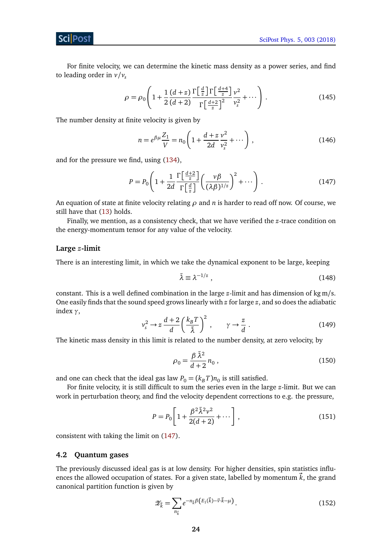## Sci Post

For finite velocity, we can determine the kinetic mass density as a power series, and find to leading order in  $v/v_s$ 

$$
\rho = \rho_0 \left( 1 + \frac{1}{2} \frac{\left(d+z\right)}{\left(d+2\right)} \frac{\Gamma\left[\frac{d}{z}\right] \Gamma\left[\frac{d+4}{z}\right]}{\Gamma\left[\frac{d+2}{z}\right]^2} \frac{v^2}{v_s^2} + \dotsb \right). \tag{145}
$$

The number density at finite velocity is given by

<span id="page-24-1"></span>
$$
n = e^{\beta \mu} \frac{Z_1}{V} = n_0 \left( 1 + \frac{d + z}{2d} \frac{v^2}{v_s^2} + \cdots \right),
$$
 (146)

and for the pressure we find, using [\(134\)](#page-22-3),

$$
P = P_0 \left( 1 + \frac{1}{2d} \frac{\Gamma\left[\frac{d+2}{z}\right]}{\Gamma\left[\frac{d}{z}\right]} \left(\frac{\nu \beta}{(\lambda \beta)^{1/z}}\right)^2 + \cdots \right). \tag{147}
$$

An equation of state at finite velocity relating *ρ* and *n* is harder to read off now. Of course, we still have that [\(13\)](#page-5-1) holds.

Finally, we mention, as a consistency check, that we have verified the *z*-trace condition on the energy-momentum tensor for any value of the velocity.

#### **Large** *z***-limit**

There is an interesting limit, in which we take the dynamical exponent to be large, keeping

$$
\tilde{\lambda} \equiv \lambda^{-1/z} \tag{148}
$$

constant. This is a well defined combination in the large *z*-limit and has dimension of kg m/s. One easily finds that the sound speed grows linearly with *z* for large *z*, and so does the adiabatic index *γ*,

$$
v_s^2 \to z \frac{d+2}{d} \left(\frac{k_B T}{\tilde{\lambda}}\right)^2 , \qquad \gamma \to \frac{z}{d} . \tag{149}
$$

The kinetic mass density in this limit is related to the number density, at zero velocity, by

$$
\rho_0 = \frac{\beta \tilde{\lambda}^2}{d+2} n_0 , \qquad (150)
$$

and one can check that the ideal gas law  $P_0 = (k_B T) n_0$  is still satisfied.

For finite velocity, it is still difficult to sum the series even in the large *z*-limit. But we can work in perturbation theory, and find the velocity dependent corrections to e.g. the pressure,

$$
P = P_0 \left[ 1 + \frac{\beta^2 \tilde{\lambda}^2 v^2}{2(d+2)} + \cdots \right],
$$
\n(151)

consistent with taking the limit on [\(147\)](#page-24-1).

### <span id="page-24-0"></span>**4.2 Quantum gases**

The previously discussed ideal gas is at low density. For higher densities, spin statistics influences the allowed occupation of states. For a given state, labelled by momentum  $\vec{k}$ , the grand canonical partition function is given by

$$
\mathscr{Z}_{\vec{k}} = \sum_{n_{\vec{k}}} e^{-n_{\vec{k}}\beta \left( E_1(\vec{k}) - \vec{v} \cdot \vec{k} - \mu \right)}.
$$
 (152)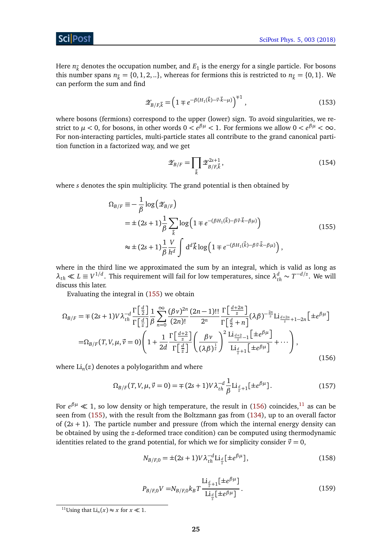Here  $n_{\vec{k}}$  denotes the occupation number, and  $E_1$  is the energy for a single particle. For bosons this number spans  $n_{\vec{k}} = \{0, 1, 2, ...\}$ , whereas for fermions this is restricted to  $n_{\vec{k}} = \{0, 1\}$ . We can perform the sum and find

$$
\mathscr{Z}_{B/F,\vec{k}} = \left(1 \mp e^{-\beta (H_1(\vec{k}) - \vec{v} \cdot \vec{k} - \mu)}\right)^{\mp 1},\tag{153}
$$

where bosons (fermions) correspond to the upper (lower) sign. To avoid singularities, we restrict to  $\mu < 0$ , for bosons, in other words  $0 < e^{\beta \mu} < 1$ . For fermions we allow  $0 < e^{\beta \mu} < \infty$ . For non-interacting particles, multi-particle states all contribute to the grand canonical partition function in a factorized way, and we get

<span id="page-25-0"></span>
$$
\mathscr{Z}_{B/F} = \prod_{\vec{k}} \mathscr{Z}_{B/F,\vec{k}}^{2s+1},\tag{154}
$$

where *s* denotes the spin multiplicity. The grand potential is then obtained by

$$
\Omega_{B/F} \equiv -\frac{1}{\beta} \log \left( \mathcal{Z}_{B/F} \right)
$$
  
=  $\pm (2s+1) \frac{1}{\beta} \sum_{\vec{k}} \log \left( 1 \mp e^{-(\beta H_1(\vec{k}) - \beta \vec{v} \cdot \vec{k} - \beta \mu)} \right)$  (155)  

$$
\approx \pm (2s+1) \frac{1}{\beta} \frac{V}{h^d} \int d^d \vec{k} \log \left( 1 \mp e^{-(\beta H_1(\vec{k}) - \beta \vec{v} \cdot \vec{k} - \beta \mu)} \right),
$$

where in the third line we approximated the sum by an integral, which is valid as long as  $\lambda_{th} \ll L \equiv V^{1/d}$ . This requirement will fail for low temperatures, since  $\lambda_{th}^d \sim T^{-d/z}$ . We will discuss this later.

Evaluating the integral in [\(155\)](#page-25-0) we obtain

$$
\Omega_{B/F} = \mp (2s+1)V\lambda_{th}^{-d} \frac{\Gamma\left[\frac{d}{2}\right]}{\Gamma\left[\frac{d}{2}\right]} \frac{1}{\beta} \sum_{n=0}^{\infty} \frac{(\beta v)^{2n}}{(2n)!} \frac{(2n-1)!!}{2^n} \frac{\Gamma\left[\frac{d+2n}{z}\right]}{\Gamma\left[\frac{d}{2}+n\right]} (\lambda \beta)^{-\frac{2n}{z}} \text{Li}_{\frac{d+2n}{z}+1-2n}\left[\pm e^{\beta \mu}\right]
$$

$$
= \Omega_{B/F}(T, V, \mu, \vec{v} = 0) \left(1 + \frac{1}{2d} \frac{\Gamma\left[\frac{d+2}{z}\right]}{\Gamma\left[\frac{d}{z}\right]} \left(\frac{\beta v}{(\lambda \beta)^{\frac{1}{z}}}\right)^2 \frac{\text{Li}_{\frac{d+2}{z}-1}\left[\pm e^{\beta \mu}\right]}{\text{Li}_{\frac{d}{z}+1}\left[\pm e^{\beta \mu}\right]} + \cdots\right),\tag{156}
$$

where Li*<sup>n</sup>* (*z*) denotes a polylogarithm and where

<span id="page-25-1"></span>
$$
\Omega_{B/F}(T, V, \mu, \vec{v} = 0) = \mp (2s + 1)V \lambda_{th}^{-d} \frac{1}{\beta} \text{Li}_{\frac{d}{z}+1}[\pm e^{\beta \mu}]. \tag{157}
$$

For *e βµ* 1, so low density or high temperature, the result in [\(156\)](#page-25-1) coincides,[11](#page-25-2) as can be seen from [\(155\)](#page-25-0), with the result from the Boltzmann gas from [\(134\)](#page-22-3), up to an overall factor of (2*s* + 1). The particle number and pressure (from which the internal energy density can be obtained by using the *z*-deformed trace condition) can be computed using thermodynamic identities related to the grand potential, for which we for simplicity consider  $\vec{v} = 0$ ,

<span id="page-25-3"></span>
$$
N_{B/F,0} = \pm (2s+1)V\lambda_{th}^{-d} \text{Li}_{\frac{d}{z}}[\pm e^{\beta \mu}], \qquad (158)
$$

$$
P_{B/F,0}V = N_{B/F,0}k_B T \frac{\text{Li}_{\frac{d}{z}+1}[\pm e^{\beta \mu}]}{\text{Li}_{\frac{d}{z}}[\pm e^{\beta \mu}]}.
$$
\n(159)

<span id="page-25-4"></span><span id="page-25-2"></span><sup>&</sup>lt;sup>11</sup>Using that  $\text{Li}_n(x) \approx x$  for  $x \ll 1$ .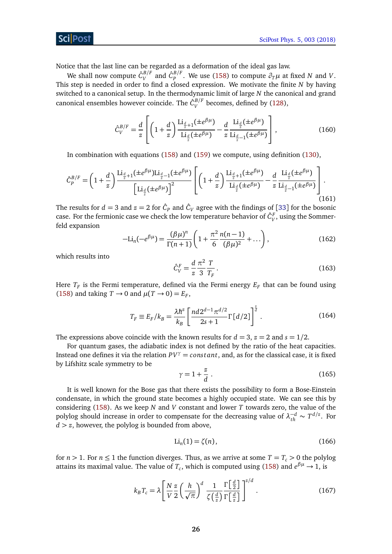### ScilPost

Notice that the last line can be regarded as a deformation of the ideal gas law.

We shall now compute  $\hat{C}_V^{B/F}$  $\hat{C}_{P}^{B/F}$  and  $\hat{C}_{P}^{B/F}$ *P*<sup>*P*</sup>. We use [\(158\)](#page-25-3) to compute  $\partial_T \mu$  at fixed *N* and *V*. This step is needed in order to find a closed expression. We motivate the finite *N* by having switched to a canonical setup. In the thermodynamic limit of large *N* the canonical and grand canonical ensembles however coincide. The  $\hat{G}_{V}^{B/F}$  $V_V^{\rm D/F}$  becomes, defined by [\(128\)](#page-21-3),

<span id="page-26-1"></span>
$$
\hat{C}_V^{B/F} = \frac{d}{z} \left[ \left( 1 + \frac{d}{z} \right) \frac{\text{Li}_{\frac{d}{z}+1}(\pm e^{\beta \mu})}{\text{Li}_{\frac{d}{z}}(\pm e^{\beta \mu})} - \frac{d}{z} \frac{\text{Li}_{\frac{d}{z}}(\pm e^{\beta \mu})}{\text{Li}_{\frac{d}{z}-1}(\pm e^{\beta \mu})} \right],
$$
(160)

In combination with equations [\(158\)](#page-25-3) and [\(159\)](#page-25-4) we compute, using definition [\(130\)](#page-22-5),

$$
\hat{C}_p^{B/F} = \left(1 + \frac{d}{z}\right) \frac{\text{Li}_{\frac{d}{z}+1}(\pm e^{\beta \mu}) \text{Li}_{\frac{d}{z}-1}(\pm e^{\beta \mu})}{\left[\text{Li}_{\frac{d}{z}}(\pm e^{\beta \mu})\right]^2} \left[\left(1 + \frac{d}{z}\right) \frac{\text{Li}_{\frac{d}{z}+1}(\pm e^{\beta \mu})}{\text{Li}_{\frac{d}{z}}(\pm e^{\beta \mu})} - \frac{d}{z} \frac{\text{Li}_{\frac{d}{z}}(\pm e^{\beta \mu})}{\text{Li}_{\frac{d}{z}-1}(\pm e^{\beta \mu})}\right].
$$
\n(161)

The results for  $d = 3$  and  $z = 2$  for  $\hat{C}_P$  and  $\hat{C}_V$  agree with the findings of [[33](#page-36-5)] for the bosonic case. For the fermionic case we check the low temperature behavior of  $\hat{C}_V^F$ , using the Sommerfeld expansion

$$
-\text{Li}_n(-e^{\beta\mu}) = \frac{(\beta\mu)^n}{\Gamma(n+1)} \left(1 + \frac{\pi^2}{6} \frac{n(n-1)}{(\beta\mu)^2} + \dots\right),\tag{162}
$$

which results into

$$
\hat{C}_V^F = \frac{d}{z} \frac{\pi^2}{3} \frac{T}{T_F}.
$$
\n(163)

Here  $T_F$  is the Fermi temperature, defined via the Fermi energy  $E_F$  that can be found using [\(158\)](#page-25-3) and taking  $T \rightarrow 0$  and  $\mu(T \rightarrow 0) = E_F$ ,

$$
T_F \equiv E_F / k_B = \frac{\lambda \hbar^z}{k_B} \left[ \frac{nd 2^{d-1} \pi^{d/2}}{2s+1} \Gamma\left[\frac{d}{2}\right] \right]^{\frac{z}{d}}.
$$
 (164)

The expressions above coincide with the known results for  $d = 3$ ,  $z = 2$  and  $s = 1/2$ .

For quantum gases, the adiabatic index is not defined by the ratio of the heat capacities. Instead one defines it via the relation  $PV^{\gamma} = constant$ , and, as for the classical case, it is fixed by Lifshitz scale symmetry to be

$$
\gamma = 1 + \frac{z}{d} \tag{165}
$$

It is well known for the Bose gas that there exists the possibility to form a Bose-Einstein condensate, in which the ground state becomes a highly occupied state. We can see this by considering [\(158\)](#page-25-3). As we keep *N* and *V* constant and lower *T* towards zero, the value of the polylog should increase in order to compensate for the decreasing value of  $\lambda_{th}^{-d} \sim T^{d/z}$ . For  $d > z$ , however, the polylog is bounded from above,

<span id="page-26-2"></span><span id="page-26-0"></span>
$$
\text{Li}_n(1) = \zeta(n),\tag{166}
$$

for  $n > 1$ . For  $n \le 1$  the function diverges. Thus, as we arrive at some  $T = T_c > 0$  the polylog attains its maximal value. The value of  $T_c$ , which is computed using [\(158\)](#page-25-3) and  $e^{\beta\mu} \to 1$ , is

$$
k_B T_c = \lambda \left[ \frac{N}{V} \frac{z}{2} \left( \frac{h}{\sqrt{\pi}} \right)^d \frac{1}{\zeta \left( \frac{d}{z} \right)} \frac{\Gamma \left[ \frac{d}{2} \right]}{\Gamma \left[ \frac{d}{z} \right]} \right]^{z/d} . \tag{167}
$$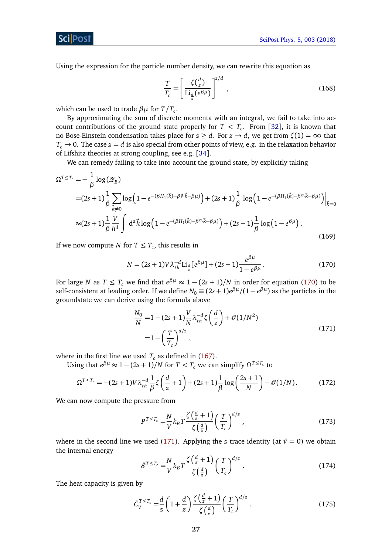Sci Post

Using the expression for the particle number density, we can rewrite this equation as

$$
\frac{T}{T_c} = \left[ \frac{\zeta(\frac{d}{z})}{\text{Li}_{\frac{d}{z}}(e^{\beta \mu})} \right]^{z/d},\tag{168}
$$

which can be used to trade *βµ* for *T/T<sup>c</sup>* .

By approximating the sum of discrete momenta with an integral, we fail to take into account contributions of the ground state properly for  $T < T_c$ . From [[32](#page-36-4)], it is known that no Bose-Einstein condensation takes place for  $z \geq d$ . For  $z \to d$ , we get from  $\zeta(1) = \infty$  that  $T_c \rightarrow 0$ . The case  $z = d$  is also special from other points of view, e.g. in the relaxation behavior of Lifshitz theories at strong coupling, see e.g. [[34](#page-36-6)].

We can remedy failing to take into account the ground state, by explicitly taking

$$
\Omega^{T \le T_c} = -\frac{1}{\beta} \log (\mathscr{Z}_B)
$$
  
=  $(2s+1)\frac{1}{\beta} \sum_{\vec{k}\neq 0} \log (1 - e^{-(\beta H_1(\vec{k}) + \beta \vec{v} \cdot \vec{k} - \beta \mu)}) + (2s+1)\frac{1}{\beta} \log (1 - e^{-(\beta H_1(\vec{k}) - \beta \vec{v} \cdot \vec{k} - \beta \mu)})\Big|_{\vec{k}=0}$   
 $\approx (2s+1)\frac{1}{\beta} \frac{V}{h^d} \int d^d \vec{k} \log (1 - e^{-(\beta H_1(\vec{k}) - \beta \vec{v} \cdot \vec{k} - \beta \mu)}) + (2s+1)\frac{1}{\beta} \log (1 - e^{\beta \mu}).$  (169)

If we now compute *N* for  $T \leq T_c$ , this results in

<span id="page-27-0"></span>
$$
N = (2s+1)V\lambda_{th}^{-d} \text{Li}_{\frac{d}{z}}[e^{\beta\mu}] + (2s+1)\frac{e^{\beta\mu}}{1 - e^{\beta\mu}}.
$$
 (170)

For large *N* as  $T \leq T_c$  we find that  $e^{\beta \mu} \approx 1 - (2s + 1)/N$  in order for equation [\(170\)](#page-27-0) to be self-consistent at leading order. If we define  $N_0 \equiv (2s+1) e^{\beta \mu}/(1-e^{\beta \mu})$  as the particles in the groundstate we can derive using the formula above

<span id="page-27-1"></span>
$$
\frac{N_0}{N} = 1 - (2s + 1)\frac{V}{N}\lambda_{th}^{-d}\zeta\left(\frac{d}{z}\right) + \mathcal{O}(1/N^2) \n= 1 - \left(\frac{T}{T_c}\right)^{d/z},
$$
\n(171)

where in the first line we used  $T_c$  as defined in [\(167\)](#page-26-0).

Using that  $e^{\beta \mu} \approx 1 - (2s + 1)/N$  for  $T < T_c$  we can simplify  $\Omega^{T \le T_c}$  to

$$
\Omega^{T \le T_c} = -(2s+1)V\lambda_{th}^{-d} \frac{1}{\beta} \zeta \left(\frac{d}{z} + 1\right) + (2s+1)\frac{1}{\beta} \log \left(\frac{2s+1}{N}\right) + \mathcal{O}(1/N). \tag{172}
$$

We can now compute the pressure from

$$
P^{T \le T_c} = \frac{N}{V} k_B T \frac{\zeta \left(\frac{d}{z} + 1\right)}{\zeta \left(\frac{d}{z}\right)} \left(\frac{T}{T_c}\right)^{d/z},\tag{173}
$$

where in the second line we used [\(171\)](#page-27-1). Applying the *z*-trace identity (at  $\vec{v} = 0$ ) we obtain the internal energy

$$
\tilde{\mathscr{E}}^{T \le T_c} = \frac{N}{V} k_B T \frac{\zeta \left(\frac{d}{z} + 1\right)}{\zeta \left(\frac{d}{z}\right)} \left(\frac{T}{T_c}\right)^{d/z} . \tag{174}
$$

The heat capacity is given by

<span id="page-27-2"></span>
$$
\hat{C}_V^{T \le T_c} = \frac{d}{z} \left( 1 + \frac{d}{z} \right) \frac{\zeta \left( \frac{d}{z} + 1 \right)}{\zeta \left( \frac{d}{z} \right)} \left( \frac{T}{T_c} \right)^{d/z} . \tag{175}
$$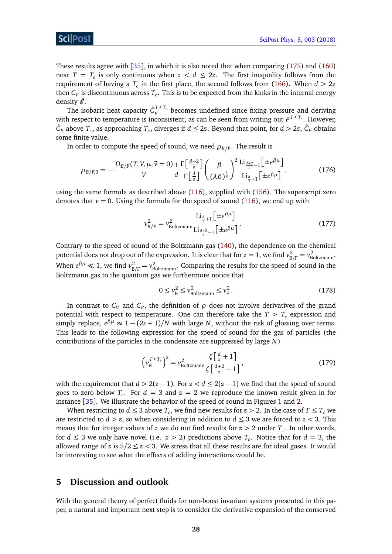These results agree with [[35](#page-36-7)], in which it is also noted that when comparing [\(175\)](#page-27-2) and [\(160\)](#page-26-1) near  $T = T_c$  is only continuous when  $z < d \leq 2z$ . The first inequality follows from the requirement of having a  $T_c$  in the first place, the second follows from [\(166\)](#page-26-2). When  $d > 2z$ then  $C_V$  is discontinuous across  $T_c.$  This is to be expected from the kinks in the internal energy density  $\ddot{\mathscr{E}}$ .

The isobaric heat capacity  $\hat{C}_p^{T \le T_c}$  $P_P^{P^{\text{L}}\text{L}_c}$  becomes undefined since fixing pressure and deriving with respect to temperature is inconsistent, as can be seen from writing out  $P^{T \le T_c}$ . However,  $\hat{C}_P$  above  $T_c$ , as approaching  $T_c$ , diverges if  $d \leq 2z$ . Beyond that point, for  $d > 2z$ ,  $\hat{C}_P$  obtains some finite value.

In order to compute the speed of sound, we need  $\rho_{B/F}.$  The result is

$$
\rho_{B/F,0} = -\frac{\Omega_{B/F}(T,V,\mu,\vec{v}=0)}{V} \frac{1}{d} \frac{\Gamma\left[\frac{d+2}{z}\right]}{\Gamma\left[\frac{d}{z}\right]} \left(\frac{\beta}{(\lambda\beta)^{\frac{1}{z}}}\right)^2 \frac{\text{Li}_{\frac{d+2}{z}-1}\left[\pm e^{\beta\mu}\right]}{\text{Li}_{\frac{d}{z}+1}\left[\pm e^{\beta\mu}\right]},\tag{176}
$$

using the same formula as described above [\(116\)](#page-19-1), supplied with [\(156\)](#page-25-1). The superscript zero denotes that  $v = 0$ . Using the formula for the speed of sound [\(116\)](#page-19-1), we end up with

<span id="page-28-2"></span>
$$
\nu_{B/F}^2 = \nu_{\text{Boltzmann}}^2 \frac{\text{Li}_{\frac{d}{z}+1} \left[ \pm e^{\beta \mu} \right]}{\text{Li}_{\frac{d+2}{z}-1} \left[ \pm e^{\beta \mu} \right]}.
$$
\n(177)

Contrary to the speed of sound of the Boltzmann gas [\(140\)](#page-23-1), the dependence on the chemical potential does not drop out of the expression. It is clear that for  $z = 1$ , we find  $v_{\rm B}^2$  $v_{\text{B/F}}^2 = v_{\text{Boltzmann}}^2$ . When  $e^{\beta \mu} \ll 1$ , we find  $v_{\rm B}^2$  $v_{B/F}^2 = v_{Boltzmann}^2$ . Comparing the results for the speed of sound in the Boltzmann gas to the quantum gas we furthermore notice that

<span id="page-28-1"></span>
$$
0 \le \nu_{\rm B}^2 \le \nu_{\rm Boltzmann}^2 \le \nu_{\rm F}^2. \tag{178}
$$

In contrast to  $C_V$  and  $C_P$ , the definition of  $\rho$  does not involve derivatives of the grand potential with respect to temperature. One can therefore take the  $T > T_c$  expression and simply replace,  $e^{\beta \mu} \approx 1 - (2s + 1)/N$  with large *N*, without the risk of glossing over terms. This leads to the following expression for the speed of sound for the gas of particles (the contributions of the particles in the condensate are suppressed by large *N*)

$$
\left(\nu_B^{T \le T_c}\right)^2 = \nu_{\text{Boltzmann}}^2 \frac{\zeta\left[\frac{d}{z} + 1\right]}{\zeta\left[\frac{d+2}{z} - 1\right]},\tag{179}
$$

with the requirement that  $d > 2(z-1)$ . For  $z < d \le 2(z-1)$  we find that the speed of sound goes to zero below  $T_c$ . For  $d = 3$  and  $z = 2$  we reproduce the known result given in for instance [[35](#page-36-7)]. We illustrate the behavior of the speed of sound in Figures [1](#page-29-0) and [2.](#page-29-1)

When restricting to  $d \leq 3$  above  $T_c$ , we find new results for  $z > 2$ . In the case of  $T \leq T_c$  we are restricted to  $d > z$ , so when considering in addition to  $d \leq 3$  we are forced to  $z < 3$ . This means that for integer values of *z* we do not find results for *z >* 2 under *T<sup>c</sup>* . In other words, for  $d \leq 3$  we only have novel (i.e.  $z > 2$ ) predictions above  $T_c$ . Notice that for  $d = 3$ , the allowed range of  $z$  is  $5/2 \leq z < 3$ . We stress that all these results are for ideal gases. It would be interesting to see what the effects of adding interactions would be.

## <span id="page-28-0"></span>**5 Discussion and outlook**

With the general theory of perfect fluids for non-boost invariant systems presented in this paper, a natural and important next step is to consider the derivative expansion of the conserved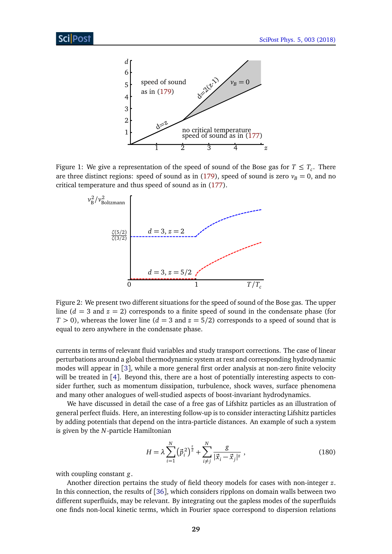

Figure 1: We give a representation of the speed of sound of the Bose gas for  $T \leq T_c$ . There are three distinct regions: speed of sound as in [\(179\)](#page-28-1), speed of sound is zero  $v_B = 0$ , and no critical temperature and thus speed of sound as in [\(177\)](#page-28-2).

<span id="page-29-0"></span>

<span id="page-29-1"></span>Figure 2: We present two different situations for the speed of sound of the Bose gas. The upper line  $(d = 3$  and  $z = 2)$  corresponds to a finite speed of sound in the condensate phase (for  $T > 0$ ), whereas the lower line ( $d = 3$  and  $z = 5/2$ ) corresponds to a speed of sound that is equal to zero anywhere in the condensate phase.

currents in terms of relevant fluid variables and study transport corrections. The case of linear perturbations around a global thermodynamic system at rest and corresponding hydrodynamic modes will appear in [[3](#page-34-3)], while a more general first order analysis at non-zero finite velocity will be treated in [[4](#page-34-4)]. Beyond this, there are a host of potentially interesting aspects to consider further, such as momentum dissipation, turbulence, shock waves, surface phenomena and many other analogues of well-studied aspects of boost-invariant hydrodynamics.

We have discussed in detail the case of a free gas of Lifshitz particles as an illustration of general perfect fluids. Here, an interesting follow-up is to consider interacting Lifshitz particles by adding potentials that depend on the intra-particle distances. An example of such a system is given by the *N*-particle Hamiltonian

$$
H = \lambda \sum_{i=1}^{N} (\vec{p}_i^{\,2})^{\frac{z}{2}} + \sum_{i \neq j}^{N} \frac{g}{|\vec{x}_i - \vec{x}_j|^z},\tag{180}
$$

with coupling constant *g*.

Another direction pertains the study of field theory models for cases with non-integer *z*. In this connection, the results of [[36](#page-36-8)], which considers ripplons on domain walls between two different superfluids, may be relevant. By integrating out the gapless modes of the superfluids one finds non-local kinetic terms, which in Fourier space correspond to dispersion relations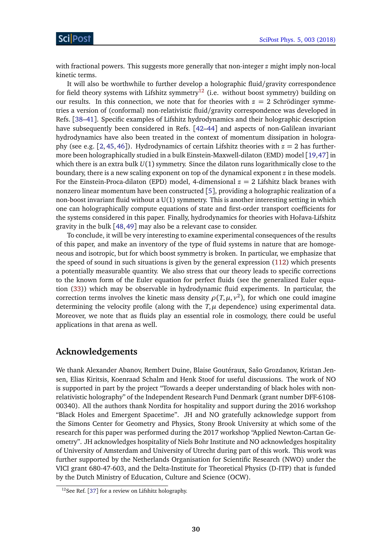with fractional powers. This suggests more generally that non-integer *z* might imply non-local kinetic terms.

It will also be worthwhile to further develop a holographic fluid/gravity correspondence for field theory systems with Lifshitz symmetry<sup>[12](#page-30-0)</sup> (i.e. without boost symmetry) building on our results. In this connection, we note that for theories with  $z = 2$  Schrödinger symmetries a version of (conformal) non-relativistic fluid/gravity correspondence was developed in Refs. [[38–](#page-36-9)[41](#page-36-10)]. Specific examples of Lifshitz hydrodynamics and their holographic description have subsequently been considered in Refs. [[42–](#page-36-11)[44](#page-36-12)] and aspects of non-Galilean invariant hydrodynamics have also been treated in the context of momentum dissipation in hologra-phy (see e.g. [[2,](#page-34-2) [45,](#page-37-0) [46](#page-37-1)]). Hydrodynamics of certain Lifshitz theories with  $z = 2$  has furthermore been holographically studied in a bulk Einstein-Maxwell-dilaton (EMD) model [[19,](#page-35-7)[47](#page-37-2)] in which there is an extra bulk *U*(1) symmetry. Since the dilaton runs logarithmically close to the boundary, there is a new scaling exponent on top of the dynamical exponent *z* in these models. For the Einstein-Proca-dilaton (EPD) model, 4-dimensional  $z = 2$  Lifshitz black branes with nonzero linear momentum have been constructed [[5](#page-34-5)], providing a holographic realization of a non-boost invariant fluid without a U(1) symmetry. This is another interesting setting in which one can holographically compute equations of state and first-order transport coefficients for the systems considered in this paper. Finally, hydrodynamics for theories with Hořava-Lifshitz gravity in the bulk [[48,](#page-37-3)[49](#page-37-4)] may also be a relevant case to consider.

To conclude, it will be very interesting to examine experimental consequences of the results of this paper, and make an inventory of the type of fluid systems in nature that are homogeneous and isotropic, but for which boost symmetry is broken. In particular, we emphasize that the speed of sound in such situations is given by the general expression [\(112\)](#page-19-0) which presents a potentially measurable quantity. We also stress that our theory leads to specific corrections to the known form of the Euler equation for perfect fluids (see the generalized Euler equation [\(33\)](#page-9-5)) which may be observable in hydrodynamic fluid experiments. In particular, the correction terms involves the kinetic mass density  $\rho(T, \mu, \nu^2)$ , for which one could imagine determining the velocity profile (along with the  $T$ ,  $\mu$  dependence) using experimental data. Moreover, we note that as fluids play an essential role in cosmology, there could be useful applications in that arena as well.

## **Acknowledgements**

We thank Alexander Abanov, Rembert Duine, Blaise Goutéraux, Sašo Grozdanov, Kristan Jensen, Elias Kiritsis, Koenraad Schalm and Henk Stoof for useful discussions. The work of NO is supported in part by the project "Towards a deeper understanding of black holes with nonrelativistic holography" of the Independent Research Fund Denmark (grant number DFF-6108- 00340). All the authors thank Nordita for hospitality and support during the 2016 workshop "Black Holes and Emergent Spacetime". JH and NO gratefully acknowledge support from the Simons Center for Geometry and Physics, Stony Brook University at which some of the research for this paper was performed during the 2017 workshop "Applied Newton-Cartan Geometry". JH acknowledges hospitality of Niels Bohr Institute and NO acknowledges hospitality of University of Amsterdam and University of Utrecht during part of this work. This work was further supported by the Netherlands Organisation for Scientific Research (NWO) under the VICI grant 680-47-603, and the Delta-Institute for Theoretical Physics (D-ITP) that is funded by the Dutch Ministry of Education, Culture and Science (OCW).

<span id="page-30-0"></span> $12$ See Ref. [[37](#page-36-13)] for a review on Lifshitz holography.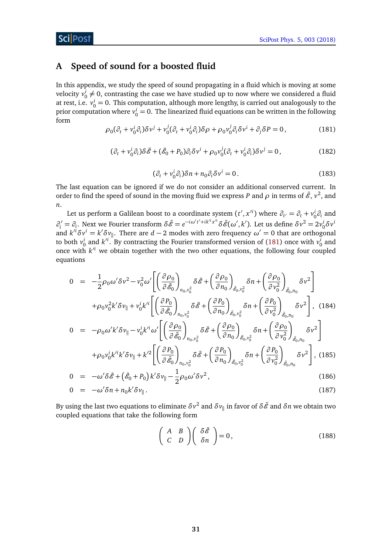## <span id="page-31-0"></span>**A Speed of sound for a boosted fluid**

In this appendix, we study the speed of sound propagating in a fluid which is moving at some velocity  $v_0^i \neq 0$ , contrasting the case we have studied up to now where we considered a fluid at rest, i.e.  $v_0^i = 0$ . This computation, although more lengthy, is carried out analogously to the prior computation where  $v_0^i = 0$ . The linearized fluid equations can be written in the following form

<span id="page-31-1"></span>
$$
\rho_0(\partial_t + v_0^i \partial_i) \delta v^j + v_0^j (\partial_t + v_0^i \partial_i) \delta \rho + \rho_0 v_0^j \partial_i \delta v^i + \partial_j \delta P = 0, \qquad (181)
$$

$$
(\partial_t + v_0^i \partial_i) \delta \tilde{\mathcal{E}} + (\tilde{\mathcal{E}}_0 + P_0) \partial_i \delta v^i + \rho_0 v_0^j (\partial_t + v_0^i \partial_i) \delta v^j = 0, \qquad (182)
$$

$$
(\partial_t + v_0^i \partial_i) \delta n + n_0 \partial_i \delta v^i = 0.
$$
 (183)

The last equation can be ignored if we do not consider an additional conserved current. In order to find the speed of sound in the moving fluid we express *P* and  $\rho$  in terms of  $\tilde{\mathscr{E}}, v^2$ , and *n*.

Let us perform a Galilean boost to a coordinate system  $(t', x'^i)$  where  $\partial_{t'} = \partial_t + v^i_0 \partial_i$  and  $\partial_i' = \partial_i$ . Next we Fourier transform  $\delta \tilde{\mathscr{E}} = e^{-i\omega' t' + ik'^i x'^i} \delta \tilde{\mathscr{E}}(\omega', k')$ . Let us define  $\delta v^2 = 2v_0^i \delta v^i$ and  $k^{\prime i} \delta v^i = k' \delta v_{\parallel}$ . There are  $d-2$  modes with zero frequency  $\omega' = 0$  that are orthogonal to both  $v_0^i$  and  $k'^i$ . By contracting the Fourier transformed version of [\(181\)](#page-31-1) once with  $v_0^i$  and once with  $k^i$  we obtain together with the two other equations, the following four coupled equations

<span id="page-31-3"></span>
$$
0 = -\frac{1}{2}\rho_0\omega'\delta\nu^2 - \nu_0^2\omega'\left[\left(\frac{\partial\rho_0}{\partial\tilde{\mathcal{E}}_0}\right)_{n_0,\nu_0^2}\delta\tilde{\mathcal{E}} + \left(\frac{\partial\rho_0}{\partial n_0}\right)_{\tilde{\mathcal{E}}_0,\nu_0^2}\delta n + \left(\frac{\partial\rho_0}{\partial\nu_0^2}\right)_{\tilde{\mathcal{E}}_0,n_0}\delta\nu^2\right] + \rho_0\nu_0^2k'\delta\nu_{\parallel} + \nu_0^ik'^i\left[\left(\frac{\partial\rho_0}{\partial\tilde{\mathcal{E}}_0}\right)_{n_0,\nu_0^2}\delta\tilde{\mathcal{E}} + \left(\frac{\partial\rho_0}{\partial n_0}\right)_{\tilde{\mathcal{E}}_0,\nu_0^2}\delta n + \left(\frac{\partial\rho_0}{\partial\nu_0^2}\right)_{\tilde{\mathcal{E}}_0,n_0}\delta\nu^2\right], \quad (184)
$$
  

$$
0 = -\rho_0\omega'k'\delta\nu_{\parallel} - \nu_0^ik'^i\omega'\left[\left(\frac{\partial\rho_0}{\partial\tilde{\mathcal{E}}_0}\right)_{n_0,\nu_0^2}\delta\tilde{\mathcal{E}} + \left(\frac{\partial\rho_0}{\partial n_0}\right)_{\tilde{\mathcal{E}}_0,\nu_0^2}\delta n + \left(\frac{\partial\rho_0}{\partial\nu_0^2}\right)_{\tilde{\mathcal{E}}_0,n_0}\delta\nu^2\right] + \rho_0\nu_0^ik'^ik'\delta\nu_{\parallel} + k'^2\left[\left(\frac{\partial\rho_0}{\partial\tilde{\mathcal{E}}_0}\right)_{n_0,\nu_0^2}\delta\tilde{\mathcal{E}} + \left(\frac{\partial\rho_0}{\partial n_0}\right)_{\tilde{\mathcal{E}}_0,\nu_0^2}\delta n + \left(\frac{\partial\rho_0}{\partial\nu_0^2}\right)_{\tilde{\mathcal{E}}_0,n_0}\delta\nu^2\right], \quad (185)
$$

$$
0 = -\omega' \delta \tilde{\mathscr{E}} + \left( \tilde{\mathscr{E}}_0 + P_0 \right) k' \delta \nu_{\parallel} - \frac{1}{2} \rho_0 \omega' \delta \nu^2, \qquad (186)
$$

$$
0 = -\omega' \delta n + n_0 k' \delta v_{\parallel}. \tag{187}
$$

By using the last two equations to eliminate  $\delta v^2$  and  $\delta v_{\|}$  in favor of  $\delta {\tilde{\mathscr E}}$  and  $\delta n$  we obtain two coupled equations that take the following form

<span id="page-31-2"></span>
$$
\left(\begin{array}{cc} A & B \\ C & D \end{array}\right) \left(\begin{array}{c} \delta \tilde{\mathscr{E}} \\ \delta n \end{array}\right) = 0, \tag{188}
$$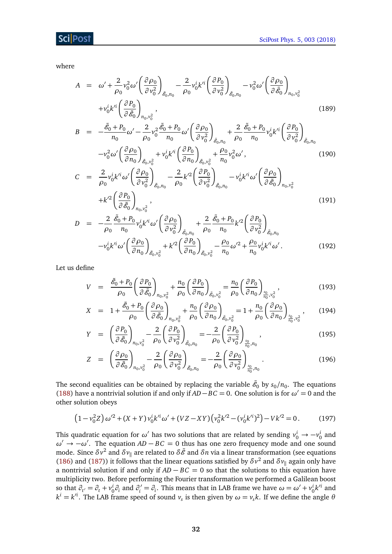where

$$
A = \omega' + \frac{2}{\rho_0} v_0^2 \omega' \left(\frac{\partial \rho_0}{\partial v_0^2}\right)_{\tilde{\mathcal{E}}_{0}, n_0} - \frac{2}{\rho_0} v_0^i k'^i \left(\frac{\partial P_0}{\partial v_0^2}\right)_{\tilde{\mathcal{E}}_{0}, n_0} - v_0^2 \omega' \left(\frac{\partial \rho_0}{\partial \tilde{\mathcal{E}}_0}\right)_{n_0, v_0^2} + v_0^i k'^i \left(\frac{\partial P_0}{\partial \tilde{\mathcal{E}}_0}\right)_{n_0, v_0^2}, \qquad (189)
$$
\n
$$
B = -\frac{\tilde{\mathcal{E}}_0 + P_0}{n_0} \omega' - \frac{2}{\rho_0} v_0^2 \frac{\tilde{\mathcal{E}}_0 + P_0}{n_0} \omega' \left(\frac{\partial \rho_0}{\partial v_0^2}\right)_{\tilde{\mathcal{E}}_{0}, n_0} + \frac{2}{\rho_0} \frac{\tilde{\mathcal{E}}_0 + P_0}{n_0} v_0^i k'^i \left(\frac{\partial P_0}{\partial v_0^2}\right)_{\tilde{\mathcal{E}}_{0}, n_0} - v_0^2 \omega' \left(\frac{\partial \rho_0}{\partial n_0}\right)_{\tilde{\mathcal{E}}_{0}, v_0^2} + v_0^i k'^i \left(\frac{\partial P_0}{\partial n_0}\right)_{\tilde{\mathcal{E}}_{0}, v_0^2} + \frac{\rho_0}{n_0} v_0^2 \omega', \qquad (190)
$$
\n
$$
C = \frac{2}{\rho_0} v_0^i k'^i \omega' \left(\frac{\partial \rho_0}{\partial v_0^2}\right)_{\tilde{\mathcal{E}}_{0}, n_0} - \frac{2}{\rho_0} k'^2 \left(\frac{\partial P_0}{\partial v_0^2}\right)_{\tilde{\mathcal{E}}_{0}, n_0} - v_0^i k'^i \omega' \left(\frac{\partial \rho_0}{\partial \tilde{\mathcal{E}}_0}\right)_{n_0, v_0^2} + k'^2 \left(\frac{\partial P_0}{\partial \tilde{\mathcal{E}}_0}\right)_{n_0, v_0^2}, \qquad (191)
$$
\n

$$
= -\frac{1}{\rho_0} \frac{\partial_0^{3/2} \partial_0^{3/2} \partial_0^{3/2} (\frac{\partial P_0}{\partial v_0^2})_{\tilde{e}_{0}, n_0} + \frac{1}{\rho_0} \frac{\partial_0^{3/2} \partial_0^{3/2} (\frac{\partial P_0}{\partial v_0^2})_{\tilde{e}_{0}, n_0}}{\rho_0 n_0} + \frac{1}{\rho_0} \frac{\partial_0^{3/2} \partial_0^{3/2} (\frac{\partial P_0}{\partial v_0^2})_{\tilde{e}_{0}, n_0}}{\rho_0 n_0} + k'^2 (\frac{\partial P_0}{\partial n_0})_{\tilde{e}_{0}, v_0^2} - \frac{\rho_0}{n_0} \omega'^2 + \frac{\rho_0}{n_0} v_0^i k'^i \omega'.
$$
(192)

Let us define

$$
V = \frac{\tilde{\mathcal{E}}_0 + P_0}{\rho_0} \left( \frac{\partial P_0}{\partial \tilde{\mathcal{E}}_0} \right)_{n_0, v_0^2} + \frac{n_0}{\rho_0} \left( \frac{\partial P_0}{\partial n_0} \right)_{\tilde{\mathcal{E}}_0, v_0^2} = \frac{n_0}{\rho_0} \left( \frac{\partial P_0}{\partial n_0} \right)_{\frac{s_0}{n_0}, v_0^2},
$$
(193)

$$
X = 1 + \frac{\tilde{\mathscr{E}}_0 + P_0}{\rho_0} \left( \frac{\partial \rho_0}{\partial \tilde{\mathscr{E}}_0} \right)_{n_0, v_0^2} + \frac{n_0}{\rho_0} \left( \frac{\partial \rho_0}{\partial n_0} \right)_{\tilde{\mathscr{E}}_0, v_0^2} = 1 + \frac{n_0}{\rho_0} \left( \frac{\partial \rho_0}{\partial n_0} \right)_{\frac{s_0}{n_0}, v_0^2}, \quad (194)
$$

$$
Y = \left(\frac{\partial P_0}{\partial \tilde{\mathcal{E}}_0}\right)_{n_0, v_0^2} - \frac{2}{\rho_0} \left(\frac{\partial P_0}{\partial v_0^2}\right)_{\tilde{\mathcal{E}}_0, n_0} = -\frac{2}{\rho_0} \left(\frac{\partial P_0}{\partial v_0^2}\right)_{\frac{s_0}{n_0}, n_0},
$$
(195)

$$
Z = \left(\frac{\partial \rho_0}{\partial \tilde{\mathscr{E}}_0}\right)_{n_0, v_0^2} - \frac{2}{\rho_0} \left(\frac{\partial \rho_0}{\partial v_0^2}\right)_{\tilde{\mathscr{E}}_0, n_0} = -\frac{2}{\rho_0} \left(\frac{\partial \rho_0}{\partial v_0^2}\right)_{\frac{s_0}{n_0}, n_0}.
$$
(196)

The second equalities can be obtained by replacing the variable  $\tilde{\mathscr{E}}_0$  by  $s_0/n_0.$  The equations [\(188\)](#page-31-2) have a nontrivial solution if and only if  $AD - BC = 0$ . One solution is for  $\omega' = 0$  and the other solution obeys

$$
(1 - v_0^2 Z) \omega'^2 + (X + Y) v_0^i k'^i \omega' + (VZ - XY) (v_0^2 k'^2 - (v_0^i k'^i)^2) - Vk'^2 = 0.
$$
 (197)

This quadratic equation for  $\omega'$  has two solutions that are related by sending  $v_0^i \rightarrow -v_0^i$  and *ω*<sup> $\prime$ </sup> → −*ω*<sup> $\prime$ </sup>. The equation *AD* − *BC* = 0 thus has one zero frequency mode and one sound mode. Since  $\delta v^2$  and  $\delta v_{\parallel}$  are related to  $\delta \tilde{\mathscr{E}}$  and  $\delta n$  via a linear transformation (see equations [\(186\)](#page-31-3) and [\(187\)](#page-31-3)) it follows that the linear equations satisfied by  $\delta v^2$  and  $\delta v_{\parallel}$  again only have a nontrivial solution if and only if *AD* − *BC* = 0 so that the solutions to this equation have multiplicity two. Before performing the Fourier transformation we performed a Galilean boost so that  $\partial_{t'} = \partial_t + v_0^i \partial_i$  and  $\partial_i' = \partial_i$ . This means that in LAB frame we have  $\omega = \omega' + v_0^i k'^i$  and  $k^{i} = k^{i}$ . The LAB frame speed of sound  $v_s$  is then given by  $\omega = v_s k$ . If we define the angle  $\theta$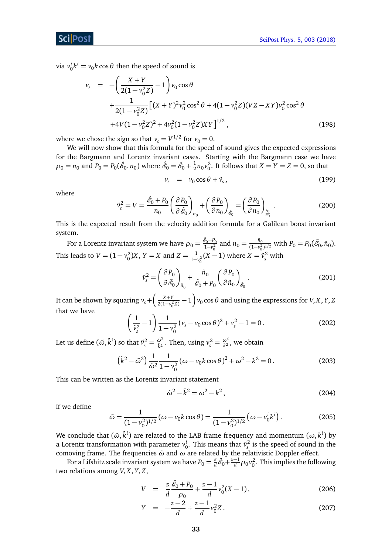**ScilPost** 

via  $v_0^i k^i = v_0 k \cos \theta$  then the speed of sound is

$$
v_{s} = -\left(\frac{X+Y}{2(1-v_{0}^{2}Z)}-1\right)v_{0}\cos\theta + \frac{1}{2(1-v_{0}^{2}Z)}\left[(X+Y)^{2}v_{0}^{2}\cos^{2}\theta + 4(1-v_{0}^{2}Z)(VZ-XY)v_{0}^{2}\cos^{2}\theta + 4V(1-v_{0}^{2}Z)^{2} + 4v_{0}^{2}(1-v_{0}^{2}Z)XY\right]^{1/2},
$$
\n(198)

where we chose the sign so that  $v_s = V^{1/2}$  for  $v_0 = 0$ .

We will now show that this formula for the speed of sound gives the expected expressions for the Bargmann and Lorentz invariant cases. Starting with the Bargmann case we have  $\rho_0 = n_0$  and  $P_0 = P_0(\hat{\mathscr{E}}_0,n_0)$  where  $\hat{\mathscr{E}}_0 = \tilde{\mathscr{E}}_0 + \frac{1}{2}$  $\frac{1}{2}n_0v_0^2$ . It follows that  $X = Y = Z = 0$ , so that

$$
v_s = v_0 \cos \theta + \tilde{v}_s, \qquad (199)
$$

where

$$
\tilde{v}_s^2 = V = \frac{\hat{\mathcal{E}}_0 + P_0}{n_0} \left( \frac{\partial P_0}{\partial \hat{\mathcal{E}}_0} \right)_{n_0} + \left( \frac{\partial P_0}{\partial n_0} \right)_{\hat{\mathcal{E}}_0} = \left( \frac{\partial P_0}{\partial n_0} \right)_{\frac{s_0}{n_0}}.
$$
\n(200)

This is the expected result from the velocity addition formula for a Galilean boost invariant system.

For a Lorentz invariant system we have  $\rho_0 = \frac{\tilde{\mathscr{E}}_0 + P_0}{1-v^2}$  $\frac{g_0 + P_0}{1 - v_0^2}$  and  $n_0 = \frac{\tilde{n}_0}{(1 - v_0^2)}$  $\frac{\ddot{n}_0}{(1-v_0^2)^{1/2}}$  with  $P_0 = P_0(\tilde{\mathscr{E}}_0, \tilde{n}_0)$ . This leads to  $V = (1 - v_0^2)X$ ,  $Y = X$  and  $Z = \frac{1}{1 - v_0^2}(X - 1)$  where  $X = \tilde{v}_s^2$  with

$$
\tilde{v}_s^2 = \left(\frac{\partial P_0}{\partial \tilde{\mathscr{E}}_0}\right)_{\tilde{n}_0} + \frac{\tilde{n}_0}{\hat{\mathscr{E}}_0 + P_0} \left(\frac{\partial P_0}{\partial \tilde{n}_0}\right)_{\tilde{\mathscr{E}}_0}.
$$
\n(201)

It can be shown by squaring  $v_s + \left(\frac{X+Y}{2(1-v_0^2Z)} - 1\right) v_0 \cos \theta$  and using the expressions for *V*, *X*, *Y*, *Z* that we have

$$
\left(\frac{1}{\tilde{v}_s^2} - 1\right) \frac{1}{1 - v_0^2} \left(v_s - v_0 \cos \theta\right)^2 + v_s^2 - 1 = 0. \tag{202}
$$

Let us define  $(\tilde{\omega}, \tilde{k}^i)$  so that  $\tilde{v}_s^2 = \frac{\tilde{\omega}^2}{\tilde{k}^2}$  $\frac{\tilde{\omega}^2}{\tilde{k}^2}$ . Then, using  $v_s^2 = \frac{\omega^2}{k^2}$  $\frac{\omega}{k^2}$ , we obtain

$$
\left(\tilde{k}^2 - \tilde{\omega}^2\right) \frac{1}{\tilde{\omega}^2} \frac{1}{1 - v_0^2} (\omega - v_0 k \cos \theta)^2 + \omega^2 - k^2 = 0.
$$
 (203)

This can be written as the Lorentz invariant statement

$$
\tilde{\omega}^2 - \tilde{k}^2 = \omega^2 - k^2,
$$
\n(204)

if we define

$$
\tilde{\omega} = \frac{1}{(1 - v_0^2)^{1/2}} (\omega - v_0 k \cos \theta) = \frac{1}{(1 - v_0^2)^{1/2}} (\omega - v_0^i k^i).
$$
 (205)

We conclude that  $(\tilde{\omega}, \tilde{k}^i)$  are related to the LAB frame frequency and momentum  $(\omega, k^i)$  by a Lorentz transformation with parameter  $v_0^i$ . This means that  $\tilde{v}_s^2$  is the speed of sound in the comoving frame. The frequencies *ω*˜ and *ω* are related by the relativistic Doppler effect.

For a Lifshitz scale invariant system we have  $P_0 = \frac{z}{d}$  $\frac{z}{d} \tilde{\mathscr{E}}_0 + \frac{z-1}{d} \rho_0 v_0^2$ . This implies the following two relations among *V*, *X*, *Y*, *Z*,

$$
V = \frac{z}{d} \frac{\tilde{\mathcal{E}}_0 + P_0}{\rho_0} + \frac{z - 1}{d} v_0^2 (X - 1), \qquad (206)
$$

$$
Y = -\frac{z-2}{d} + \frac{z-1}{d}v_0^2 Z. \tag{207}
$$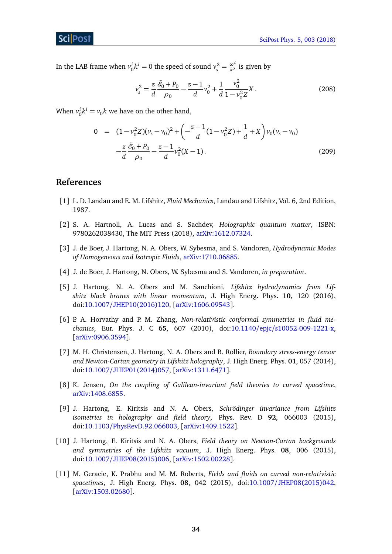In the LAB frame when  $v_0^i k^i = 0$  the speed of sound  $v_s^2 = \frac{\omega^2}{k^2}$  $\frac{\omega}{k^2}$  is given by

$$
v_s^2 = \frac{z}{d} \frac{\tilde{\mathcal{E}}_0 + P_0}{\rho_0} - \frac{z - 1}{d} v_0^2 + \frac{1}{d} \frac{v_0^2}{1 - v_0^2 Z} X.
$$
 (208)

When  $v_0^i k^i = v_0 k$  we have on the other hand,

<span id="page-34-0"></span>
$$
0 = (1 - v_0^2 Z)(v_s - v_0)^2 + \left(-\frac{z - 1}{d}(1 - v_0^2 Z) + \frac{1}{d} + X\right)v_0(v_s - v_0)
$$

$$
-\frac{z}{d}\frac{\tilde{\mathscr{E}}_0 + P_0}{\rho_0} - \frac{z - 1}{d}v_0^2(X - 1).
$$
(209)

## **References**

- <span id="page-34-1"></span>[1] L. D. Landau and E. M. Lifshitz, *Fluid Mechanics*, Landau and Lifshitz, Vol. 6, 2nd Edition, 1987.
- <span id="page-34-2"></span>[2] S. A. Hartnoll, A. Lucas and S. Sachdev, *Holographic quantum matter*, ISBN: 9780262038430, The MIT Press (2018), [arXiv:1612.07324.](http://arXiv.org/abs/1612.07324)
- <span id="page-34-3"></span>[3] J. de Boer, J. Hartong, N. A. Obers, W. Sybesma, and S. Vandoren, *Hydrodynamic Modes of Homogeneous and Isotropic Fluids*, [arXiv:1710.06885.](http://arxiv.org/abs/1710.06885)
- <span id="page-34-4"></span>[4] J. de Boer, J. Hartong, N. Obers, W. Sybesma and S. Vandoren, *in preparation*.
- <span id="page-34-5"></span>[5] J. Hartong, N. A. Obers and M. Sanchioni, *Lifshitz hydrodynamics from Lifshitz black branes with linear momentum*, J. High Energ. Phys. **10**, 120 (2016), doi:10.1007/[JHEP10\(2016\)120,](http://dx.doi.org/10.1007/JHEP10(2016)120) [[arXiv:1606.09543](http://arxiv.org/abs/1606.09543)].
- <span id="page-34-6"></span>[6] P. A. Horvathy and P. M. Zhang, *Non-relativistic conformal symmetries in fluid mechanics*, Eur. Phys. J. C **65**, 607 (2010), doi:10.1140/epjc/[s10052-009-1221-x,](http://dx.doi.org/10.1140/epjc/s10052-009-1221-x) [[arXiv:0906.3594](http://arxiv.org/abs/0906.3594)].
- <span id="page-34-7"></span>[7] M. H. Christensen, J. Hartong, N. A. Obers and B. Rollier, *Boundary stress-energy tensor and Newton-Cartan geometry in Lifshitz holography*, J. High Energ. Phys. **01**, 057 (2014), doi:10.1007/[JHEP01\(2014\)057,](http://dx.doi.org/10.1007/JHEP01(2014)057) [[arXiv:1311.6471](http://arxiv.org/abs/1311.6471)].
- [8] K. Jensen, *On the coupling of Galilean-invariant field theories to curved spacetime*, [arXiv:1408.6855.](https://arxiv.org/abs/1408.6855)
- [9] J. Hartong, E. Kiritsis and N. A. Obers, *Schrödinger invariance from Lifshitz isometries in holography and field theory*, Phys. Rev. D **92**, 066003 (2015), doi:10.1103/[PhysRevD.92.066003,](http://dx.doi.org/10.1103/PhysRevD.92.066003) [[arXiv:1409.1522](http://arxiv.org/abs/1409.1522)].
- [10] J. Hartong, E. Kiritsis and N. A. Obers, *Field theory on Newton-Cartan backgrounds and symmetries of the Lifshitz vacuum*, J. High Energ. Phys. **08**, 006 (2015), doi:10.1007/[JHEP08\(2015\)006,](http://dx.doi.org/10.1007/JHEP08(2015)006) [[arXiv:1502.00228](http://arxiv.org/abs/1502.00228)].
- [11] M. Geracie, K. Prabhu and M. M. Roberts, *Fields and fluids on curved non-relativistic spacetimes*, J. High Energ. Phys. **08**, 042 (2015), doi:10.1007/[JHEP08\(2015\)042,](http://dx.doi.org/10.1007/JHEP08(2015)042) [[arXiv:1503.02680](http://arxiv.org/abs/1503.02680)].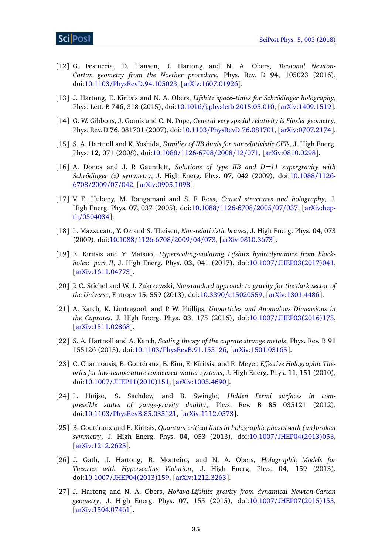- <span id="page-35-0"></span>[12] G. Festuccia, D. Hansen, J. Hartong and N. A. Obers, *Torsional Newton-Cartan geometry from the Noether procedure*, Phys. Rev. D **94**, 105023 (2016), doi:10.1103/[PhysRevD.94.105023,](http://dx.doi.org/10.1103/PhysRevD.94.105023) [[arXiv:1607.01926](http://arxiv.org/abs/1607.01926)].
- <span id="page-35-1"></span>[13] J. Hartong, E. Kiritsis and N. A. Obers, *Lifshitz space–times for Schrödinger holography*, Phys. Lett. B **746**, 318 (2015), doi:10.1016/[j.physletb.2015.05.010,](http://dx.doi.org/10.1016/j.physletb.2015.05.010) [[arXiv:1409.1519](http://arxiv.org/abs/1409.1519)].
- <span id="page-35-2"></span>[14] G. W. Gibbons, J. Gomis and C. N. Pope, *General very special relativity is Finsler geometry*, Phys. Rev. D **76**, 081701 (2007), doi:10.1103/[PhysRevD.76.081701,](http://dx.doi.org/10.1103/PhysRevD.76.081701) [[arXiv:0707.2174](http://arxiv.org/abs/0707.2174)].
- <span id="page-35-3"></span>[15] S. A. Hartnoll and K. Yoshida, *Families of IIB duals for nonrelativistic CFTs*, J. High Energ. Phys. **12**, 071 (2008), doi:10.1088/[1126-6708](http://dx.doi.org/10.1088/1126-6708/2008/12/071)/2008/12/071, [[arXiv:0810.0298](http://arxiv.org/abs/0810.0298)].
- <span id="page-35-4"></span>[16] A. Donos and J. P. Gauntlett, *Solutions of type IIB and D=11 supergravity with Schrödinger (z) symmetry*, J. High Energ. Phys. **07**, 042 (2009), doi[:10.1088](http://dx.doi.org/10.1088/1126-6708/2009/07/042)/1126- [6708](http://dx.doi.org/10.1088/1126-6708/2009/07/042)/2009/07/042, [[arXiv:0905.1098](http://arxiv.org/abs/0905.1098)].
- <span id="page-35-5"></span>[17] V. E. Hubeny, M. Rangamani and S. F. Ross, *Causal structures and holography*, J. High Energ. Phys. **07**, 037 (2005), doi:10.1088/[1126-6708](http://dx.doi.org/10.1088/1126-6708/2005/07/037)/2005/07/037, [[arXiv:hep](http://arxiv.org/abs/hep-th/0504034)th/[0504034](http://arxiv.org/abs/hep-th/0504034)].
- <span id="page-35-6"></span>[18] L. Mazzucato, Y. Oz and S. Theisen, *Non-relativistic branes*, J. High Energ. Phys. **04**, 073 (2009), doi:10.1088/[1126-6708](http://dx.doi.org/10.1088/1126-6708/2009/04/073)/2009/04/073, [[arXiv:0810.3673](http://arxiv.org/abs/0810.3673)].
- <span id="page-35-7"></span>[19] E. Kiritsis and Y. Matsuo, *Hyperscaling-violating Lifshitz hydrodynamics from blackholes: part II*, J. High Energ. Phys. **03**, 041 (2017), doi:10.1007/[JHEP03\(2017\)041,](http://dx.doi.org/10.1007/JHEP03(2017)041) [[arXiv:1611.04773](http://arxiv.org/abs/1611.04773)].
- <span id="page-35-8"></span>[20] P. C. Stichel and W. J. Zakrzewski, *Nonstandard approach to gravity for the dark sector of the Universe*, Entropy **15**, 559 (2013), doi:10.3390/[e15020559,](http://dx.doi.org/10.3390/e15020559) [[arXiv:1301.4486](http://arxiv.org/abs/1301.4486)].
- <span id="page-35-9"></span>[21] A. Karch, K. Limtragool, and P. W. Phillips, *Unparticles and Anomalous Dimensions in the Cuprates*, J. High Energ. Phys. **03**, 175 (2016), doi:10.1007/[JHEP03\(2016\)175,](http://dx.doi.org/10.1007/JHEP03(2016)175) [[arXiv:1511.02868](http://arxiv.org/abs/1511.02868)].
- <span id="page-35-10"></span>[22] S. A. Hartnoll and A. Karch, *Scaling theory of the cuprate strange metals*, Phys. Rev. B **91** 155126 (2015), doi:10.1103/[PhysRevB.91.155126,](http://dx.doi.org/10.1103/PhysRevB.91.155126) [[arXiv:1501.03165](http://arxiv.org/abs/1501.03165)].
- <span id="page-35-11"></span>[23] C. Charmousis, B. Goutéraux, B. Kim, E. Kiritsis, and R. Meyer, *Effective Holographic Theories for low-temperature condensed matter systems*, J. High Energ. Phys. **11**, 151 (2010), doi:10.1007/[JHEP11\(2010\)151,](http://dx.doi.org/10.1007/JHEP11(2010)151) [[arXiv:1005.4690](http://arxiv.org/abs/1005.4690)].
- <span id="page-35-12"></span>[24] L. Huijse, S. Sachdev, and B. Swingle, *Hidden Fermi surfaces in compressible states of gauge-gravity duality*, Phys. Rev. B **85** 035121 (2012), doi:10.1103/[PhysRevB.85.035121,](http://dx.doi.org/10.1103/PhysRevB.85.035121) [[arXiv:1112.0573](http://arxiv.org/abs/1112.0573)].
- <span id="page-35-13"></span>[25] B. Goutéraux and E. Kiritsis, *Quantum critical lines in holographic phases with (un)broken symmetry*, J. High Energ. Phys. **04**, 053 (2013), doi:10.1007/[JHEP04\(2013\)053,](http://dx.doi.org/10.1007/JHEP04(2013)053) [[arXiv:1212.2625](http://arxiv.org/abs/1212.2625)].
- <span id="page-35-14"></span>[26] J. Gath, J. Hartong, R. Monteiro, and N. A. Obers, *Holographic Models for Theories with Hyperscaling Violation*, J. High Energ. Phys. **04**, 159 (2013), doi:10.1007/[JHEP04\(2013\)159,](http://dx.doi.org/10.1007/JHEP04(2013)159) [[arXiv:1212.3263](http://arxiv.org/abs/1212.3263)].
- <span id="page-35-15"></span>[27] J. Hartong and N. A. Obers, *Hoˇrava-Lifshitz gravity from dynamical Newton-Cartan geometry*, J. High Energ. Phys. **07**, 155 (2015), doi:10.1007/[JHEP07\(2015\)155,](http://dx.doi.org/10.1007/JHEP07(2015)155) [[arXiv:1504.07461](http://arxiv.org/abs/1504.07461)].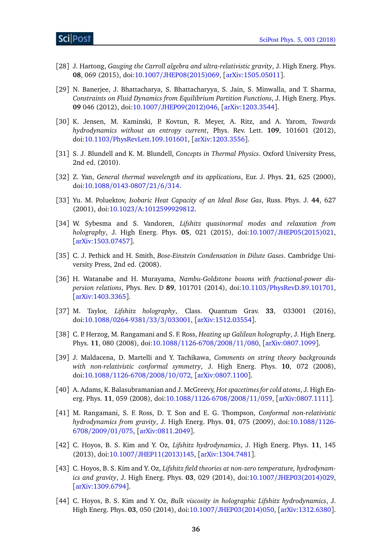- <span id="page-36-0"></span>[28] J. Hartong, *Gauging the Carroll algebra and ultra-relativistic gravity*, J. High Energ. Phys. **08**, 069 (2015), doi:10.1007/[JHEP08\(2015\)069,](http://dx.doi.org/10.1007/JHEP08(2015)069) [[arXiv:1505.05011](http://arxiv.org/abs/1505.05011)].
- <span id="page-36-1"></span>[29] N. Banerjee, J. Bhattacharya, S. Bhattacharyya, S. Jain, S. Minwalla, and T. Sharma, *Constraints on Fluid Dynamics from Equilibrium Partition Functions*, J. High Energ. Phys. **09** 046 (2012), doi:10.1007/[JHEP09\(2012\)046,](http://dx.doi.org/10.1007/JHEP09(2012)046) [[arXiv:1203.3544](http://arxiv.org/abs/1203.3544)].
- <span id="page-36-2"></span>[30] K. Jensen, M. Kaminski, P. Kovtun, R. Meyer, A. Ritz, and A. Yarom, *Towards hydrodynamics without an entropy current*, Phys. Rev. Lett. **109**, 101601 (2012), doi:10.1103/[PhysRevLett.109.101601,](http://dx.doi.org/10.1103/PhysRevLett.109.101601) [[arXiv:1203.3556](http://arxiv.org/abs/1203.3556)].
- <span id="page-36-3"></span>[31] S. J. Blundell and K. M. Blundell, *Concepts in Thermal Physics*. Oxford University Press, 2nd ed. (2010).
- <span id="page-36-4"></span>[32] Z. Yan, *General thermal wavelength and its applications*, Eur. J. Phys. **21**, 625 (2000), doi:10.1088/[0143-0807](http://dx.doi.org/10.1088/0143-0807/21/6/314)/21/6/314.
- <span id="page-36-5"></span>[33] Yu. M. Poluektov, *Isobaric Heat Capacity of an Ideal Bose Gas*, Russ. Phys. J. **44**, 627 (2001), doi:10.1023/[A:1012599929812.](http://dx.doi.org/10.1023/A:1012599929812)
- <span id="page-36-6"></span>[34] W. Sybesma and S. Vandoren, *Lifshitz quasinormal modes and relaxation from holography*, J. High Energ. Phys. **05**, 021 (2015), doi:10.1007/[JHEP05\(2015\)021,](http://dx.doi.org/10.1007/JHEP05(2015)021) [[arXiv:1503.07457](http://arxiv.org/abs/1503.07457)].
- <span id="page-36-7"></span>[35] C. J. Pethick and H. Smith, *Bose-Einstein Condensation in Dilute Gases*. Cambridge University Press, 2nd ed. (2008).
- <span id="page-36-8"></span>[36] H. Watanabe and H. Murayama, *Nambu-Goldstone bosons with fractional-power dispersion relations*, Phys. Rev. D **89**, 101701 (2014), doi:10.1103/[PhysRevD.89.101701,](http://dx.doi.org/10.1103/PhysRevD.89.101701) [[arXiv:1403.3365](http://arxiv.org/abs/1403.3365)].
- <span id="page-36-13"></span>[37] M. Taylor, *Lifshitz holography*, Class. Quantum Grav. **33**, 033001 (2016), doi:10.1088/[0264-9381](http://dx.doi.org/10.1088/0264-9381/33/3/033001)/33/3/033001, [[arXiv:1512.03554](http://arxiv.org/abs/1512.03554)].
- <span id="page-36-9"></span>[38] C. P. Herzog, M. Rangamani and S. F. Ross, *Heating up Galilean holography*, J. High Energ. Phys. **11**, 080 (2008), doi:10.1088/[1126-6708](http://dx.doi.org/10.1088/1126-6708/2008/11/080)/2008/11/080, [[arXiv:0807.1099](http://arxiv.org/abs/0807.1099)].
- [39] J. Maldacena, D. Martelli and Y. Tachikawa, *Comments on string theory backgrounds with non-relativistic conformal symmetry*, J. High Energ. Phys. **10**, 072 (2008), doi:10.1088/[1126-6708](http://dx.doi.org/10.1088/1126-6708/2008/10/072)/2008/10/072, [[arXiv:0807.1100](http://arxiv.org/abs/0807.1100)].
- [40] A. Adams, K. Balasubramanian and J. McGreevy, *Hot spacetimes for cold atoms*, J. High Energ. Phys. **11**, 059 (2008), doi:10.1088/[1126-6708](http://dx.doi.org/10.1088/1126-6708/2008/11/059)/2008/11/059, [[arXiv:0807.1111](http://arxiv.org/abs/0807.1111)].
- <span id="page-36-10"></span>[41] M. Rangamani, S. F. Ross, D. T. Son and E. G. Thompson, *Conformal non-relativistic hydrodynamics from gravity*, J. High Energ. Phys. **01**, 075 (2009), doi[:10.1088](http://dx.doi.org/10.1088/1126-6708/2009/01/075)/1126- [6708](http://dx.doi.org/10.1088/1126-6708/2009/01/075)/2009/01/075, [[arXiv:0811.2049](http://arxiv.org/abs/0811.2049)].
- <span id="page-36-11"></span>[42] C. Hoyos, B. S. Kim and Y. Oz, *Lifshitz hydrodynamics*, J. High Energ. Phys. **11**, 145 (2013), doi:10.1007/[JHEP11\(2013\)145,](http://dx.doi.org/10.1007/JHEP11(2013)145) [[arXiv:1304.7481](http://arxiv.org/abs/1304.7481)].
- [43] C. Hoyos, B. S. Kim and Y. Oz, *Lifshitz field theories at non-zero temperature, hydrodynamics and gravity*, J. High Energ. Phys. **03**, 029 (2014), doi:10.1007/[JHEP03\(2014\)029,](http://dx.doi.org/10.1007/JHEP03(2014)029) [[arXiv:1309.6794](http://arxiv.org/abs/1309.6794)].
- <span id="page-36-12"></span>[44] C. Hoyos, B. S. Kim and Y. Oz, *Bulk viscosity in holographic Lifshitz hydrodynamics*, J. High Energ. Phys. **03**, 050 (2014), doi:10.1007/[JHEP03\(2014\)050,](http://dx.doi.org/10.1007/JHEP03(2014)050) [[arXiv:1312.6380](http://arxiv.org/abs/1312.6380)].